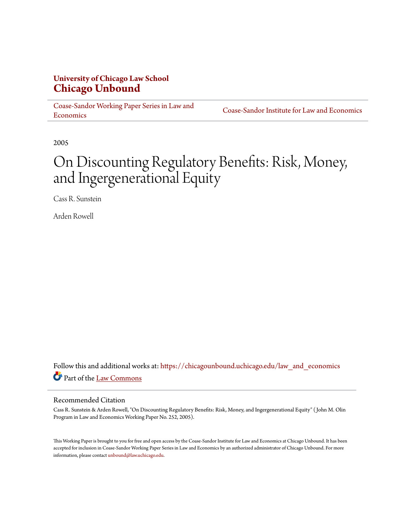## **University of Chicago Law School [Chicago Unbound](https://chicagounbound.uchicago.edu?utm_source=chicagounbound.uchicago.edu%2Flaw_and_economics%2F340&utm_medium=PDF&utm_campaign=PDFCoverPages)**

[Coase-Sandor Working Paper Series in Law and](https://chicagounbound.uchicago.edu/law_and_economics?utm_source=chicagounbound.uchicago.edu%2Flaw_and_economics%2F340&utm_medium=PDF&utm_campaign=PDFCoverPages) [Economics](https://chicagounbound.uchicago.edu/law_and_economics?utm_source=chicagounbound.uchicago.edu%2Flaw_and_economics%2F340&utm_medium=PDF&utm_campaign=PDFCoverPages)

[Coase-Sandor Institute for Law and Economics](https://chicagounbound.uchicago.edu/coase_sandor_institute?utm_source=chicagounbound.uchicago.edu%2Flaw_and_economics%2F340&utm_medium=PDF&utm_campaign=PDFCoverPages)

2005

# On Discounting Regulatory Benefits: Risk, Money, and Ingergenerational Equity

Cass R. Sunstein

Arden Rowell

Follow this and additional works at: [https://chicagounbound.uchicago.edu/law\\_and\\_economics](https://chicagounbound.uchicago.edu/law_and_economics?utm_source=chicagounbound.uchicago.edu%2Flaw_and_economics%2F340&utm_medium=PDF&utm_campaign=PDFCoverPages) Part of the [Law Commons](http://network.bepress.com/hgg/discipline/578?utm_source=chicagounbound.uchicago.edu%2Flaw_and_economics%2F340&utm_medium=PDF&utm_campaign=PDFCoverPages)

#### Recommended Citation

Cass R. Sunstein & Arden Rowell, "On Discounting Regulatory Benefits: Risk, Money, and Ingergenerational Equity" ( John M. Olin Program in Law and Economics Working Paper No. 252, 2005).

This Working Paper is brought to you for free and open access by the Coase-Sandor Institute for Law and Economics at Chicago Unbound. It has been accepted for inclusion in Coase-Sandor Working Paper Series in Law and Economics by an authorized administrator of Chicago Unbound. For more information, please contact [unbound@law.uchicago.edu.](mailto:unbound@law.uchicago.edu)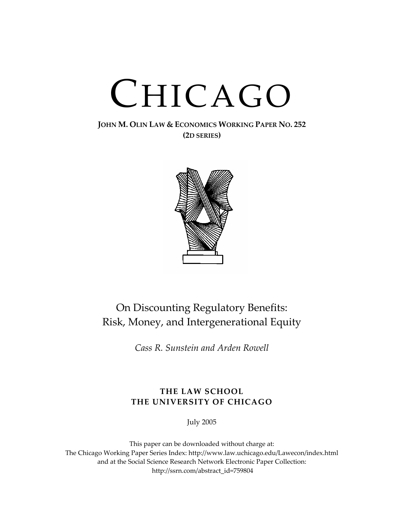# CHICAGO

#### **JOHN M. OLIN LAW & ECONOMICS WORKING PAPER NO. 252 (2D SERIES)**



# On Discounting Regulatory Benefits: Risk, Money, and Intergenerational Equity

*Cass R. Sunstein and Arden Rowell*

### **THE LAW SCHOOL THE UNIVERSITY OF CHICAGO**

July 2005

This paper can be downloaded without charge at: The Chicago Working Paper Series Index: http://www.law.uchicago.edu/Lawecon/index.html and at the Social Science Research Network Electronic Paper Collection: http://ssrn.com/abstract\_id=759804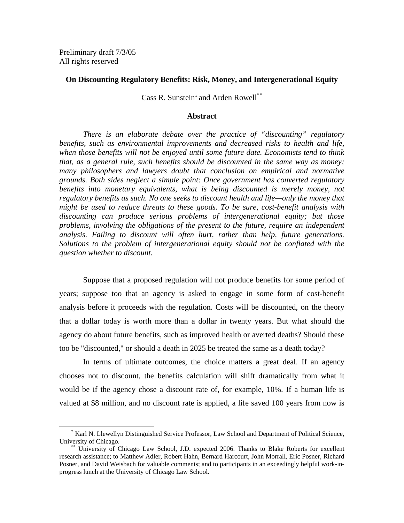Preliminary draft 7/3/05 All rights reserved

#### **On Discounting Regulatory Benefits: Risk, Money, and Intergenerational Equity**

Cass R. Sunstein\* and Arden Rowell\*\*

#### **Abstract**

 *There is an elaborate debate over the practice of "discounting" regulatory benefits, such as environmental improvements and decreased risks to health and life, when those benefits will not be enjoyed until some future date. Economists tend to think that, as a general rule, such benefits should be discounted in the same way as money; many philosophers and lawyers doubt that conclusion on empirical and normative grounds. Both sides neglect a simple point: Once government has converted regulatory benefits into monetary equivalents, what is being discounted is merely money, not regulatory benefits as such. No one seeks to discount health and life—only the money that might be used to reduce threats to these goods. To be sure, cost-benefit analysis with discounting can produce serious problems of intergenerational equity; but those problems, involving the obligations of the present to the future, require an independent analysis. Failing to discount will often hurt, rather than help, future generations. Solutions to the problem of intergenerational equity should not be conflated with the question whether to discount.* 

Suppose that a proposed regulation will not produce benefits for some period of years; suppose too that an agency is asked to engage in some form of cost-benefit analysis before it proceeds with the regulation. Costs will be discounted, on the theory that a dollar today is worth more than a dollar in twenty years. But what should the agency do about future benefits, such as improved health or averted deaths? Should these too be "discounted," or should a death in 2025 be treated the same as a death today?

In terms of ultimate outcomes, the choice matters a great deal. If an agency chooses not to discount, the benefits calculation will shift dramatically from what it would be if the agency chose a discount rate of, for example, 10%. If a human life is valued at \$8 million, and no discount rate is applied, a life saved 100 years from now is

\* \* Karl N. Llewellyn Distinguished Service Professor, Law School and Department of Political Science, University of Chicago.<br>\*\* University of Chicago Law School, J.D. expected 2006. Thanks to Blake Roberts for excellent

research assistance; to Matthew Adler, Robert Hahn, Bernard Harcourt, John Morrall, Eric Posner, Richard Posner, and David Weisbach for valuable comments; and to participants in an exceedingly helpful work-inprogress lunch at the University of Chicago Law School.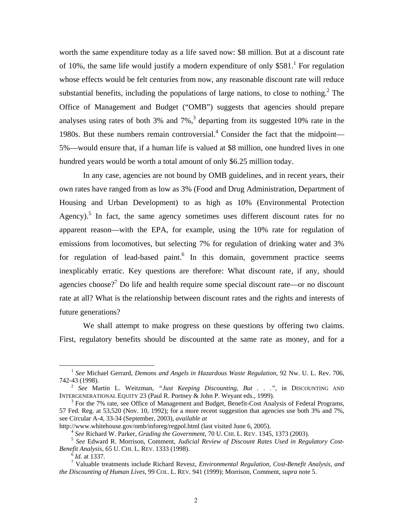worth the same expenditure today as a life saved now: \$8 million. But at a discount rate of 10%, the same life would justify a modern expenditure of only \$581.<sup>1</sup> For regulation whose effects would be felt centuries from now, any reasonable discount rate will reduce substantial benefits, including the populations of large nations, to close to nothing. $2$  The Office of Management and Budget ("OMB") suggests that agencies should prepare analyses using rates of both  $3\%$  and  $7\%$ ,<sup>3</sup> departing from its suggested 10% rate in the 1980s. But these numbers remain controversial. $4$  Consider the fact that the midpoint— 5%—would ensure that, if a human life is valued at \$8 million, one hundred lives in one hundred years would be worth a total amount of only \$6.25 million today.

In any case, agencies are not bound by OMB guidelines, and in recent years, their own rates have ranged from as low as 3% (Food and Drug Administration, Department of Housing and Urban Development) to as high as 10% (Environmental Protection Agency).<sup>5</sup> In fact, the same agency sometimes uses different discount rates for no apparent reason—with the EPA, for example, using the 10% rate for regulation of emissions from locomotives, but selecting 7% for regulation of drinking water and 3% for regulation of lead-based paint.<sup>6</sup> In this domain, government practice seems inexplicably erratic. Key questions are therefore: What discount rate, if any, should agencies choose?<sup>7</sup> Do life and health require some special discount rate—or no discount rate at all? What is the relationship between discount rates and the rights and interests of future generations?

We shall attempt to make progress on these questions by offering two claims. First, regulatory benefits should be discounted at the same rate as money, and for a

<sup>&</sup>lt;sup>1</sup> See Michael Gerrard, *Demons and Angels in Hazardous Waste Regulation*, 92 Nw. U. L. Rev. 706, 742-43 (1998).

<sup>&</sup>lt;sup>2</sup> See Martin L. Weitzman, *"Just Keeping Discounting, But . . ."*, in DISCOUNTING AND INTERGENERATIONAL EQUITY 23 (Paul R. Portney & John P. Weyant eds., 1999). 3

 $3$  For the 7% rate, see Office of Management and Budget, Benefit-Cost Analysis of Federal Programs, 57 Fed. Reg. at 53,520 (Nov. 10, 1992); for a more recent suggestion that agencies use both 3% and 7%, see Circular A-4, 33-34 (September, 2003), *available at*

<sup>&</sup>lt;sup>4</sup> See Richard W. Parker, *Grading the Government*, 70 U. CHI. L. REV. 1345, 1373 (2003).<br><sup>5</sup> See Edward R. Morrison, Comment, *Judicial Review of Discount Rates Used in Regulatory Cost-Benefit Analysis*, 65 U. CHI. L. REV. 1333 (1998). <sup>6</sup> *Id.* at 1337.

Valuable treatments include Richard Revesz, *Environmental Regulation, Cost-Benefit Analysis, and the Discounting of Human Lives*, 99 COL. L. REV. 941 (1999); Morrison, Comment, *supra* note 5.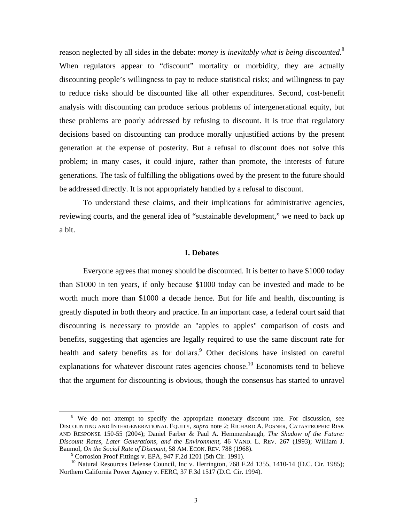reason neglected by all sides in the debate: *money is inevitably what is being discounted*. 8 When regulators appear to "discount" mortality or morbidity, they are actually discounting people's willingness to pay to reduce statistical risks; and willingness to pay to reduce risks should be discounted like all other expenditures. Second, cost-benefit analysis with discounting can produce serious problems of intergenerational equity, but these problems are poorly addressed by refusing to discount. It is true that regulatory decisions based on discounting can produce morally unjustified actions by the present generation at the expense of posterity. But a refusal to discount does not solve this problem; in many cases, it could injure, rather than promote, the interests of future generations. The task of fulfilling the obligations owed by the present to the future should be addressed directly. It is not appropriately handled by a refusal to discount.

To understand these claims, and their implications for administrative agencies, reviewing courts, and the general idea of "sustainable development," we need to back up a bit.

#### **I. Debates**

Everyone agrees that money should be discounted. It is better to have \$1000 today than \$1000 in ten years, if only because \$1000 today can be invested and made to be worth much more than \$1000 a decade hence. But for life and health, discounting is greatly disputed in both theory and practice. In an important case, a federal court said that discounting is necessary to provide an "apples to apples" comparison of costs and benefits, suggesting that agencies are legally required to use the same discount rate for health and safety benefits as for dollars.<sup>9</sup> Other decisions have insisted on careful explanations for whatever discount rates agencies choose.<sup>10</sup> Economists tend to believe that the argument for discounting is obvious, though the consensus has started to unravel

 $\frac{1}{8}$ <sup>8</sup> We do not attempt to specify the appropriate monetary discount rate. For discussion, see DISCOUNTING AND INTERGENERATIONAL EQUITY, *supra* note 2; RICHARD A. POSNER, CATASTROPHE: RISK AND RESPONSE 150-55 (2004); Daniel Farber & Paul A. Hemmersbaugh, *The Shadow of the Future: Discount Rates, Later Generations, and the Environment*, 46 VAND. L. REV. 267 (1993); William J. Baumol, *On the Social Rate of Discount*, 58 AM. ECON. REV. 788 (1968).

 $^9$  Corrosion Proof Fittings v. EPA, 947 F.2d 1201 (5th Cir. 1991).

<sup>&</sup>lt;sup>10</sup> Natural Resources Defense Council, Inc v. Herrington, 768 F.2d 1355, 1410-14 (D.C. Cir. 1985); Northern California Power Agency v. FERC, 37 F.3d 1517 (D.C. Cir. 1994).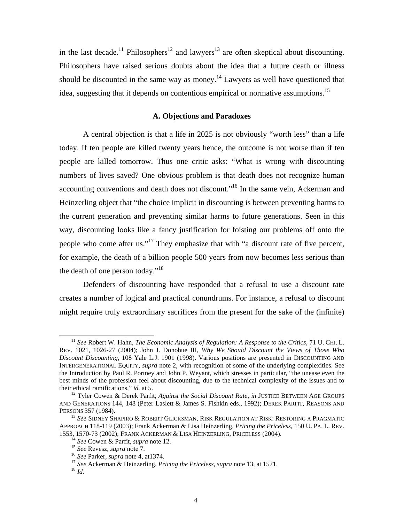in the last decade.<sup>11</sup> Philosophers<sup>12</sup> and lawyers<sup>13</sup> are often skeptical about discounting. Philosophers have raised serious doubts about the idea that a future death or illness should be discounted in the same way as money.<sup>14</sup> Lawyers as well have questioned that idea, suggesting that it depends on contentious empirical or normative assumptions.<sup>15</sup>

#### **A. Objections and Paradoxes**

A central objection is that a life in 2025 is not obviously "worth less" than a life today. If ten people are killed twenty years hence, the outcome is not worse than if ten people are killed tomorrow. Thus one critic asks: "What is wrong with discounting numbers of lives saved? One obvious problem is that death does not recognize human accounting conventions and death does not discount."16 In the same vein, Ackerman and Heinzerling object that "the choice implicit in discounting is between preventing harms to the current generation and preventing similar harms to future generations. Seen in this way, discounting looks like a fancy justification for foisting our problems off onto the people who come after us."<sup>17</sup> They emphasize that with "a discount rate of five percent, for example, the death of a billion people 500 years from now becomes less serious than the death of one person today."<sup>18</sup>

Defenders of discounting have responded that a refusal to use a discount rate creates a number of logical and practical conundrums. For instance, a refusal to discount might require truly extraordinary sacrifices from the present for the sake of the (infinite)

<sup>11</sup> *See* Robert W. Hahn, *The Economic Analysis of Regulation: A Response to the Critics*, 71 U. CHI. L. REV. 1021, 1026-27 (2004); John J. Donohue III, *Why We Should Discount the Views of Those Who Discount Discounting*, 108 Yale L.J. 1901 (1998). Various positions are presented in DISCOUNTING AND INTERGENERATIONAL EQUITY, *supra* note 2, with recognition of some of the underlying complexities. See the Introduction by Paul R. Portney and John P. Weyant, which stresses in particular, "the unease even the best minds of the profession feel about discounting, due to the technical complexity of the issues and to their ethical ramifications," *id.* at 5. 12 Tyler Cowen & Derek Parfit, *Against the Social Discount Rate*, *in* JUSTICE BETWEEN AGE GROUPS

AND GENERATIONS 144, 148 (Peter Laslett & James S. Fishkin eds., 1992); DEREK PARFIT, REASONS AND PERSONS 357 (1984). 13 *See* SIDNEY SHAPIRO & ROBERT GLICKSMAN, RISK REGULATION AT RISK: RESTORING A PRAGMATIC

APPROACH 118-119 (2003); Frank Ackerman & Lisa Heinzerling, *Pricing the Priceless*, 150 U. PA. L. REV. 1553, 1570-73 (2002); FRANK ACKERMAN & LISA HEINZERLING, PRICELESS (2004).<br><sup>14</sup> See Cowen & Parfit, *supra* note 12.<br><sup>15</sup> See Revesz, *supra* note 7.<br><sup>15</sup> See Parker, *supra* note 4, at1374.<br><sup>17</sup> See Ackerman & Heinzerlin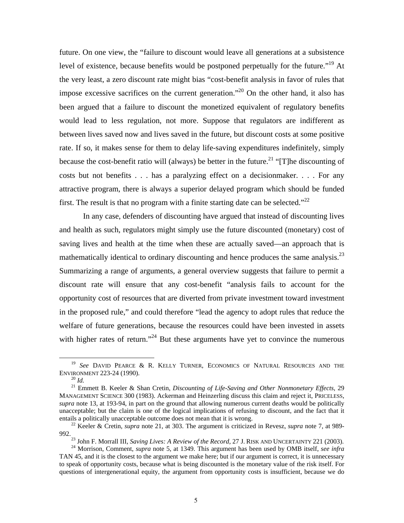future. On one view, the "failure to discount would leave all generations at a subsistence level of existence, because benefits would be postponed perpetually for the future."<sup>19</sup> At the very least, a zero discount rate might bias "cost-benefit analysis in favor of rules that impose excessive sacrifices on the current generation."20 On the other hand, it also has been argued that a failure to discount the monetized equivalent of regulatory benefits would lead to less regulation, not more. Suppose that regulators are indifferent as between lives saved now and lives saved in the future, but discount costs at some positive rate. If so, it makes sense for them to delay life-saving expenditures indefinitely, simply because the cost-benefit ratio will (always) be better in the future.<sup>21</sup> "[T]he discounting of costs but not benefits . . . has a paralyzing effect on a decisionmaker. . . . For any attractive program, there is always a superior delayed program which should be funded first. The result is that no program with a finite starting date can be selected."<sup>22</sup>

In any case, defenders of discounting have argued that instead of discounting lives and health as such, regulators might simply use the future discounted (monetary) cost of saving lives and health at the time when these are actually saved—an approach that is mathematically identical to ordinary discounting and hence produces the same analysis.<sup>23</sup> Summarizing a range of arguments, a general overview suggests that failure to permit a discount rate will ensure that any cost-benefit "analysis fails to account for the opportunity cost of resources that are diverted from private investment toward investment in the proposed rule," and could therefore "lead the agency to adopt rules that reduce the welfare of future generations, because the resources could have been invested in assets with higher rates of return."<sup>24</sup> But these arguments have yet to convince the numerous

<sup>19</sup> *See* DAVID PEARCE & R. KELLY TURNER, ECONOMICS OF NATURAL RESOURCES AND THE ENVIRONMENT 223-24 (1990).<br><sup>20</sup> *Id.* 21 Emmett B. Keeler & Shan Cretin, *Discounting of Life-Saving and Other Nonmonetary Effects*, 29

MANAGEMENT SCIENCE 300 (1983). Ackerman and Heinzerling discuss this claim and reject it, PRICELESS, *supra* note 13, at 193-94, in part on the ground that allowing numerous current deaths would be politically unacceptable; but the claim is one of the logical implications of refusing to discount, and the fact that it entails a politically unacceptable outcome does not mean that it is wrong.<br><sup>22</sup> Keeler & Cretin, *supra* note 21, at 303. The argument is criticized in Revesz, *supra* note 7, at 989-

<sup>992.&</sup>lt;br><sup>23</sup> John F. Morrall III, *Saving Lives: A Review of the Record*, 27 J. RISK AND UNCERTAINTY 221 (2003).<br><sup>24</sup> Morrison, Comment, *supra* note 5, at 1349. This argument has been used by OMB itself, *see infra* 

TAN 45, and it is the closest to the argument we make here; but if our argument is correct, it is unnecessary to speak of opportunity costs, because what is being discounted is the monetary value of the risk itself. For questions of intergenerational equity, the argument from opportunity costs is insufficient, because we do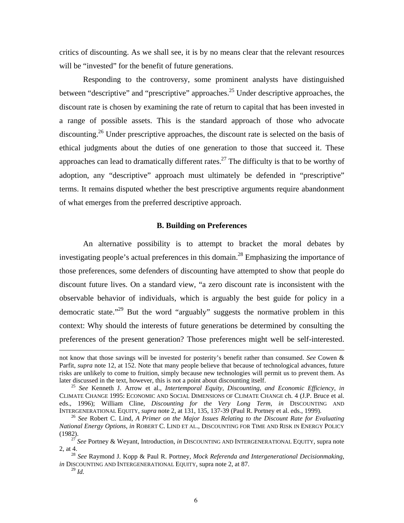critics of discounting. As we shall see, it is by no means clear that the relevant resources will be "invested" for the benefit of future generations.

Responding to the controversy, some prominent analysts have distinguished between "descriptive" and "prescriptive" approaches.<sup>25</sup> Under descriptive approaches, the discount rate is chosen by examining the rate of return to capital that has been invested in a range of possible assets. This is the standard approach of those who advocate discounting.<sup>26</sup> Under prescriptive approaches, the discount rate is selected on the basis of ethical judgments about the duties of one generation to those that succeed it. These approaches can lead to dramatically different rates.<sup>27</sup> The difficulty is that to be worthy of adoption, any "descriptive" approach must ultimately be defended in "prescriptive" terms. It remains disputed whether the best prescriptive arguments require abandonment of what emerges from the preferred descriptive approach.

#### **B. Building on Preferences**

An alternative possibility is to attempt to bracket the moral debates by investigating people's actual preferences in this domain.<sup>28</sup> Emphasizing the importance of those preferences, some defenders of discounting have attempted to show that people do discount future lives. On a standard view, "a zero discount rate is inconsistent with the observable behavior of individuals, which is arguably the best guide for policy in a democratic state."29 But the word "arguably" suggests the normative problem in this context: Why should the interests of future generations be determined by consulting the preferences of the present generation? Those preferences might well be self-interested.

 $\overline{a}$ 

not know that those savings will be invested for posterity's benefit rather than consumed. *See* Cowen & Parfit, *supra* note 12, at 152. Note that many people believe that because of technological advances, future risks are unlikely to come to fruition, simply because new technologies will permit us to prevent them. As later discussed in the text, however, this is not a point about discounting itself. 25 *See* Kenneth J. Arrow et al., *Intertemporal Equity, Discounting, and Economic Efficiency*, *in*

CLIMATE CHANGE 1995: ECONOMIC AND SOCIAL DIMENSIONS OF CLIMATE CHANGE ch. 4 (J.P. Bruce et al. eds., 1996); William Cline, *Discounting for the Very Long Term*, *in* DISCOUNTING AND INTERGENERATIONAL EQUITY, *supra* note 2, at 131, 135, 137-39 (Paul R. Portney et al. eds., 1999).

<sup>&</sup>lt;sup>26</sup> See Robert C. Lind, *A Primer on the Major Issues Relating to the Discount Rate for Evaluating National Energy Options*, *in* ROBERT C. LIND ET AL., DISCOUNTING FOR TIME AND RISK IN ENERGY POLICY (1982). 27 *See* Portney & Weyant, Introduction, *in* DISCOUNTING AND INTERGENERATIONAL EQUITY, supra note

<sup>2,</sup> at 4. 28 *See* Raymond J. Kopp & Paul R. Portney, *Mock Referenda and Intergenerational Decisionmaking*,

*in* DISCOUNTING AND INTERGENERATIONAL EQUITY, supra note 2, at 87.

<sup>29</sup> *Id.*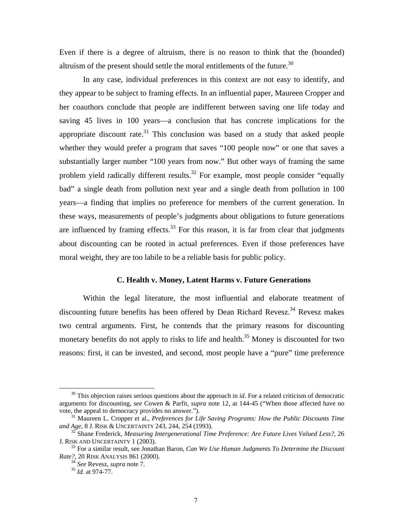Even if there is a degree of altruism, there is no reason to think that the (bounded) altruism of the present should settle the moral entitlements of the future.<sup>30</sup>

In any case, individual preferences in this context are not easy to identify, and they appear to be subject to framing effects. In an influential paper, Maureen Cropper and her coauthors conclude that people are indifferent between saving one life today and saving 45 lives in 100 years—a conclusion that has concrete implications for the appropriate discount rate.<sup>31</sup> This conclusion was based on a study that asked people whether they would prefer a program that saves "100 people now" or one that saves a substantially larger number "100 years from now." But other ways of framing the same problem yield radically different results.<sup>32</sup> For example, most people consider "equally bad" a single death from pollution next year and a single death from pollution in 100 years—a finding that implies no preference for members of the current generation. In these ways, measurements of people's judgments about obligations to future generations are influenced by framing effects.<sup>33</sup> For this reason, it is far from clear that judgments about discounting can be rooted in actual preferences. Even if those preferences have moral weight, they are too labile to be a reliable basis for public policy.

#### **C. Health v. Money, Latent Harms v. Future Generations**

Within the legal literature, the most influential and elaborate treatment of discounting future benefits has been offered by Dean Richard Revesz.<sup>34</sup> Revesz makes two central arguments. First, he contends that the primary reasons for discounting monetary benefits do not apply to risks to life and health.<sup>35</sup> Money is discounted for two reasons: first, it can be invested, and second, most people have a "pure" time preference

<sup>&</sup>lt;sup>30</sup> This objection raises serious questions about the approach in *id*. For a related criticism of democratic arguments for discounting, *see* Cowen & Parfit, *supra* note 12, at 144-45 ("When those affected have no

<sup>&</sup>lt;sup>31</sup> Maureen L. Cropper et al., *Preferences for Life Saving Programs: How the Public Discounts Time and Age*, 8 J. RISK & UNCERTAINTY 243, 244, 254 (1993).

<sup>&</sup>lt;sup>32</sup> Shane Frederick, *Measuring Intergenerational Time Preference: Are Future Lives Valued Less?*, 26 J. RISK AND UNCERTAINTY 1 (2003). 33 For a similar result, see Jonathan Baron, *Can We Use Human Judgments To Determine the Discount* 

*Rate?*, 20 RISK ANALYSIS 861 (2000). 34 *See* Revesz, *supra* note 7. 35 *Id.* at 974-77.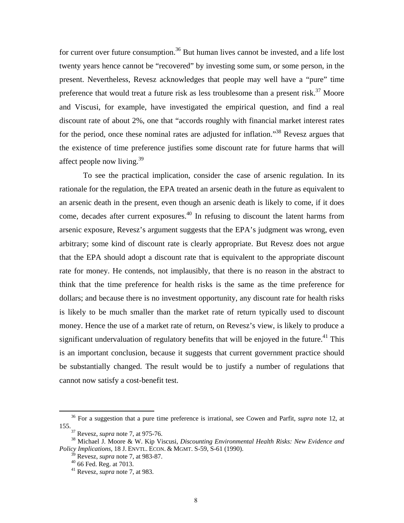for current over future consumption.<sup>36</sup> But human lives cannot be invested, and a life lost twenty years hence cannot be "recovered" by investing some sum, or some person, in the present. Nevertheless, Revesz acknowledges that people may well have a "pure" time preference that would treat a future risk as less troublesome than a present risk.<sup>37</sup> Moore and Viscusi, for example, have investigated the empirical question, and find a real discount rate of about 2%, one that "accords roughly with financial market interest rates for the period, once these nominal rates are adjusted for inflation.<sup>38</sup> Revesz argues that the existence of time preference justifies some discount rate for future harms that will affect people now living.<sup>39</sup>

To see the practical implication, consider the case of arsenic regulation. In its rationale for the regulation, the EPA treated an arsenic death in the future as equivalent to an arsenic death in the present, even though an arsenic death is likely to come, if it does come, decades after current exposures.<sup>40</sup> In refusing to discount the latent harms from arsenic exposure, Revesz's argument suggests that the EPA's judgment was wrong, even arbitrary; some kind of discount rate is clearly appropriate. But Revesz does not argue that the EPA should adopt a discount rate that is equivalent to the appropriate discount rate for money. He contends, not implausibly, that there is no reason in the abstract to think that the time preference for health risks is the same as the time preference for dollars; and because there is no investment opportunity, any discount rate for health risks is likely to be much smaller than the market rate of return typically used to discount money. Hence the use of a market rate of return, on Revesz's view, is likely to produce a significant undervaluation of regulatory benefits that will be enjoyed in the future.<sup>41</sup> This is an important conclusion, because it suggests that current government practice should be substantially changed. The result would be to justify a number of regulations that cannot now satisfy a cost-benefit test.

36 For a suggestion that a pure time preference is irrational, see Cowen and Parfit, *supra* note 12, at 155. 37 Revesz, *supra* note 7, at 975-76. 38 Michael J. Moore & W. Kip Viscusi, *Discounting Environmental Health Risks: New Evidence and* 

*Policy Implications*, 18 J. ENVTL. ECON. & MGMT. S-59, S-61 (1990).

<sup>&</sup>lt;sup>39</sup> Revesz, *supra* note 7, at 983-87.<br><sup>40</sup> 66 Fed. Reg. at 7013.

<sup>41</sup> Revesz, *supra* note 7, at 983.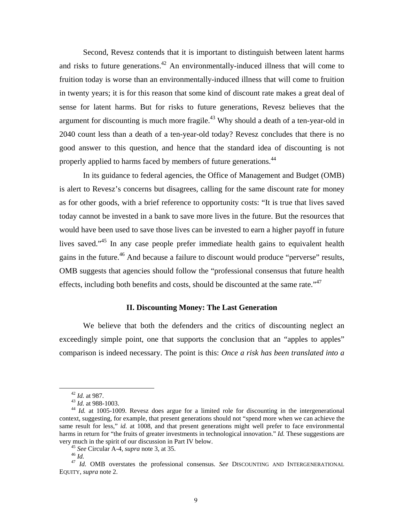Second, Revesz contends that it is important to distinguish between latent harms and risks to future generations.<sup>42</sup> An environmentally-induced illness that will come to fruition today is worse than an environmentally-induced illness that will come to fruition in twenty years; it is for this reason that some kind of discount rate makes a great deal of sense for latent harms. But for risks to future generations, Revesz believes that the argument for discounting is much more fragile.<sup>43</sup> Why should a death of a ten-year-old in 2040 count less than a death of a ten-year-old today? Revesz concludes that there is no good answer to this question, and hence that the standard idea of discounting is not properly applied to harms faced by members of future generations.<sup>44</sup>

In its guidance to federal agencies, the Office of Management and Budget (OMB) is alert to Revesz's concerns but disagrees, calling for the same discount rate for money as for other goods, with a brief reference to opportunity costs: "It is true that lives saved today cannot be invested in a bank to save more lives in the future. But the resources that would have been used to save those lives can be invested to earn a higher payoff in future lives saved."<sup>45</sup> In any case people prefer immediate health gains to equivalent health gains in the future.<sup>46</sup> And because a failure to discount would produce "perverse" results, OMB suggests that agencies should follow the "professional consensus that future health effects, including both benefits and costs, should be discounted at the same rate."<sup>47</sup>

#### **II. Discounting Money: The Last Generation**

We believe that both the defenders and the critics of discounting neglect an exceedingly simple point, one that supports the conclusion that an "apples to apples" comparison is indeed necessary. The point is this: *Once a risk has been translated into a* 

<sup>&</sup>lt;sup>42</sup> *Id.* at 987.<br><sup>43</sup> *Id.* at 988-1003.<br><sup>44</sup> *Id.* at 1005-1009. Revesz does argue for a limited role for discounting in the intergenerational context, suggesting, for example, that present generations should not "spend more when we can achieve the same result for less," *id.* at 1008, and that present generations might well prefer to face environmental harms in return for "the fruits of greater investments in technological innovation." *Id.* These suggestions are

very much in the spirit of our discussion in Part IV below.<br>
<sup>45</sup> See Circular A-4, *supra* note 3, at 35.<br>
<sup>46</sup> Id.<br>
<sup>47</sup> Id. OMB overstates the professional consensus. See DISCOUNTING AND INTERGENERATIONAL EQUITY, *supra* note 2.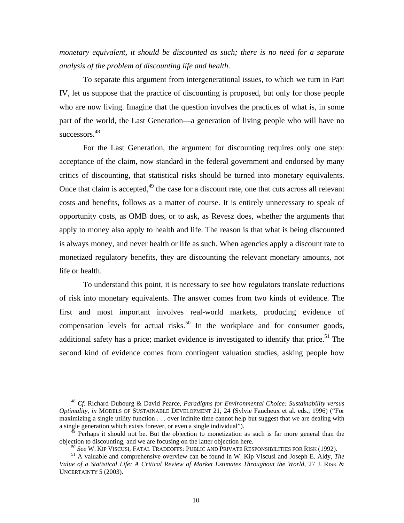*monetary equivalent, it should be discounted as such; there is no need for a separate analysis of the problem of discounting life and health*.

To separate this argument from intergenerational issues, to which we turn in Part IV, let us suppose that the practice of discounting is proposed, but only for those people who are now living. Imagine that the question involves the practices of what is, in some part of the world, the Last Generation—a generation of living people who will have no successors.<sup>48</sup>

For the Last Generation, the argument for discounting requires only one step: acceptance of the claim, now standard in the federal government and endorsed by many critics of discounting, that statistical risks should be turned into monetary equivalents. Once that claim is accepted, $49$  the case for a discount rate, one that cuts across all relevant costs and benefits, follows as a matter of course. It is entirely unnecessary to speak of opportunity costs, as OMB does, or to ask, as Revesz does, whether the arguments that apply to money also apply to health and life. The reason is that what is being discounted is always money, and never health or life as such. When agencies apply a discount rate to monetized regulatory benefits, they are discounting the relevant monetary amounts, not life or health.

To understand this point, it is necessary to see how regulators translate reductions of risk into monetary equivalents. The answer comes from two kinds of evidence. The first and most important involves real-world markets, producing evidence of compensation levels for actual risks.<sup>50</sup> In the workplace and for consumer goods, additional safety has a price; market evidence is investigated to identify that price.<sup>51</sup> The second kind of evidence comes from contingent valuation studies, asking people how

<sup>48</sup> *Cf.* Richard Dubourg & David Pearce, *Paradigms for Environmental Choice: Sustainability versus Optimality*, *in* MODELS OF SUSTAINABLE DEVELOPMENT 21, 24 (Sylvie Faucheux et al. eds., 1996) ("For maximizing a single utility function . . . over infinite time cannot help but suggest that we are dealing with a single generation which exists forever, or even a single individual").

Perhaps it should not be. But the objection to monetization as such is far more general than the % objection to discounting, and we are focusing on the latter objection here.<br><sup>50</sup> See W. KIP VISCUSI, FATAL TRADEOFFS: PUBLIC AND PRIVATE RESPONSIBILITIES FOR RISK (1992).<br><sup>51</sup> A valuable and comprehensive overview can b

*Value of a Statistical Life: A Critical Review of Market Estimates Throughout the World*, 27 J. RISK & UNCERTAINTY 5 (2003).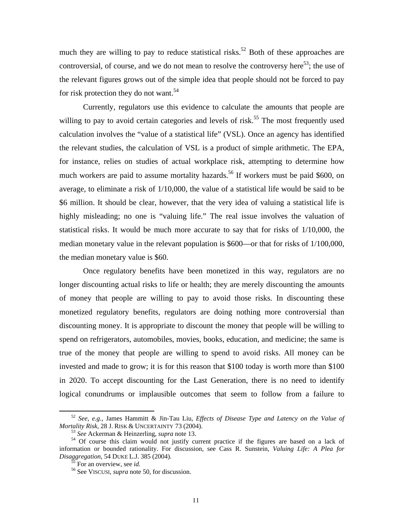much they are willing to pay to reduce statistical risks.<sup>52</sup> Both of these approaches are controversial, of course, and we do not mean to resolve the controversy here<sup>53</sup>; the use of the relevant figures grows out of the simple idea that people should not be forced to pay for risk protection they do not want.<sup>54</sup>

Currently, regulators use this evidence to calculate the amounts that people are willing to pay to avoid certain categories and levels of risk.<sup>55</sup> The most frequently used calculation involves the "value of a statistical life" (VSL). Once an agency has identified the relevant studies, the calculation of VSL is a product of simple arithmetic. The EPA, for instance, relies on studies of actual workplace risk, attempting to determine how much workers are paid to assume mortality hazards.<sup>56</sup> If workers must be paid \$600, on average, to eliminate a risk of 1/10,000, the value of a statistical life would be said to be \$6 million. It should be clear, however, that the very idea of valuing a statistical life is highly misleading; no one is "valuing life." The real issue involves the valuation of statistical risks. It would be much more accurate to say that for risks of 1/10,000, the median monetary value in the relevant population is \$600—or that for risks of 1/100,000, the median monetary value is \$60.

Once regulatory benefits have been monetized in this way, regulators are no longer discounting actual risks to life or health; they are merely discounting the amounts of money that people are willing to pay to avoid those risks. In discounting these monetized regulatory benefits, regulators are doing nothing more controversial than discounting money. It is appropriate to discount the money that people will be willing to spend on refrigerators, automobiles, movies, books, education, and medicine; the same is true of the money that people are willing to spend to avoid risks. All money can be invested and made to grow; it is for this reason that \$100 today is worth more than \$100 in 2020. To accept discounting for the Last Generation, there is no need to identify logical conundrums or implausible outcomes that seem to follow from a failure to

<sup>52</sup> *See, e.g.*, James Hammitt & Jin-Tau Liu, *Effects of Disease Type and Latency on the Value of* 

<sup>&</sup>lt;sup>53</sup> See Ackerman & Heinzerling, *supra* note 13. <sup>54</sup> Of course this claim would not justify current practice if the figures are based on a lack of information or bounded rationality. For discussion, see Cass R. Sunstein, *Valuing Life: A Plea for Disaggregation*, 54 DUKE L.J. 385 (2004).<br><sup>55</sup> For an overview, see *id*.<br><sup>56</sup> See VISCUSI, *supra* note 50, for discussion.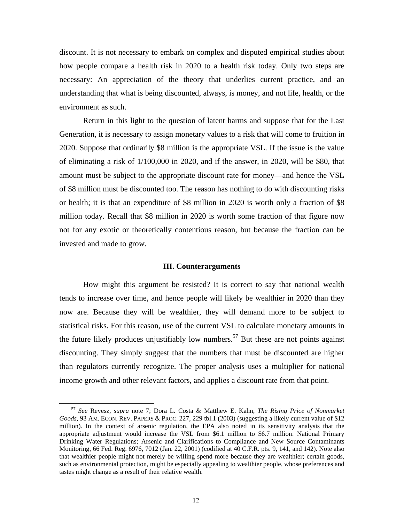discount. It is not necessary to embark on complex and disputed empirical studies about how people compare a health risk in 2020 to a health risk today. Only two steps are necessary: An appreciation of the theory that underlies current practice, and an understanding that what is being discounted, always, is money, and not life, health, or the environment as such.

Return in this light to the question of latent harms and suppose that for the Last Generation, it is necessary to assign monetary values to a risk that will come to fruition in 2020. Suppose that ordinarily \$8 million is the appropriate VSL. If the issue is the value of eliminating a risk of 1/100,000 in 2020, and if the answer, in 2020, will be \$80, that amount must be subject to the appropriate discount rate for money—and hence the VSL of \$8 million must be discounted too. The reason has nothing to do with discounting risks or health; it is that an expenditure of \$8 million in 2020 is worth only a fraction of \$8 million today. Recall that \$8 million in 2020 is worth some fraction of that figure now not for any exotic or theoretically contentious reason, but because the fraction can be invested and made to grow.

#### **III. Counterarguments**

How might this argument be resisted? It is correct to say that national wealth tends to increase over time, and hence people will likely be wealthier in 2020 than they now are. Because they will be wealthier, they will demand more to be subject to statistical risks. For this reason, use of the current VSL to calculate monetary amounts in the future likely produces unjustifiably low numbers.<sup>57</sup> But these are not points against discounting. They simply suggest that the numbers that must be discounted are higher than regulators currently recognize. The proper analysis uses a multiplier for national income growth and other relevant factors, and applies a discount rate from that point.

<sup>57</sup> *See* Revesz, *supra* note 7; Dora L. Costa & Matthew E. Kahn, *The Rising Price of Nonmarket Goods*, 93 AM. ECON. REV. PAPERS & PROC. 227, 229 tbl.1 (2003) (suggesting a likely current value of \$12 million). In the context of arsenic regulation, the EPA also noted in its sensitivity analysis that the appropriate adjustment would increase the VSL from \$6.1 million to \$6.7 million. National Primary Drinking Water Regulations; Arsenic and Clarifications to Compliance and New Source Contaminants Monitoring, 66 Fed. Reg. 6976, 7012 (Jan. 22, 2001) (codified at 40 C.F.R. pts. 9, 141, and 142). Note also that wealthier people might not merely be willing spend more because they are wealthier; certain goods, such as environmental protection, might be especially appealing to wealthier people, whose preferences and tastes might change as a result of their relative wealth.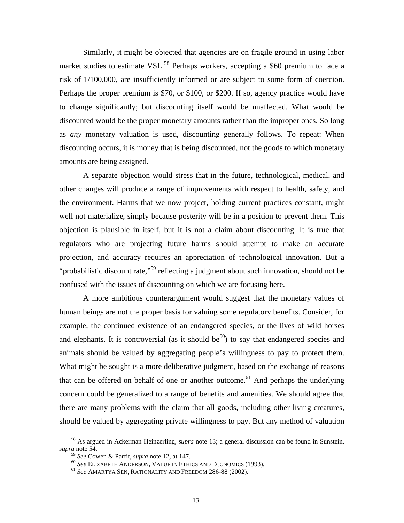Similarly, it might be objected that agencies are on fragile ground in using labor market studies to estimate VSL.<sup>58</sup> Perhaps workers, accepting a \$60 premium to face a risk of 1/100,000, are insufficiently informed or are subject to some form of coercion. Perhaps the proper premium is \$70, or \$100, or \$200. If so, agency practice would have to change significantly; but discounting itself would be unaffected. What would be discounted would be the proper monetary amounts rather than the improper ones. So long as *any* monetary valuation is used, discounting generally follows. To repeat: When discounting occurs, it is money that is being discounted, not the goods to which monetary amounts are being assigned.

A separate objection would stress that in the future, technological, medical, and other changes will produce a range of improvements with respect to health, safety, and the environment. Harms that we now project, holding current practices constant, might well not materialize, simply because posterity will be in a position to prevent them. This objection is plausible in itself, but it is not a claim about discounting. It is true that regulators who are projecting future harms should attempt to make an accurate projection, and accuracy requires an appreciation of technological innovation. But a "probabilistic discount rate,"<sup>59</sup> reflecting a judgment about such innovation, should not be confused with the issues of discounting on which we are focusing here.

A more ambitious counterargument would suggest that the monetary values of human beings are not the proper basis for valuing some regulatory benefits. Consider, for example, the continued existence of an endangered species, or the lives of wild horses and elephants. It is controversial (as it should be<sup>60</sup>) to say that endangered species and animals should be valued by aggregating people's willingness to pay to protect them. What might be sought is a more deliberative judgment, based on the exchange of reasons that can be offered on behalf of one or another outcome.<sup>61</sup> And perhaps the underlying concern could be generalized to a range of benefits and amenities. We should agree that there are many problems with the claim that all goods, including other living creatures, should be valued by aggregating private willingness to pay. But any method of valuation

58 As argued in Ackerman Heinzerling, *supra* note 13; a general discussion can be found in Sunstein, *supra* note 54.<br><sup>59</sup> *See* Cowen & Parfit, *supra* note 12, at 147.

<sup>&</sup>lt;sup>60</sup> See ELIZABETH ANDERSON, VALUE IN ETHICS AND ECONOMICS (1993).<br><sup>61</sup> See AMARTYA SEN, RATIONALITY AND FREEDOM 286-88 (2002).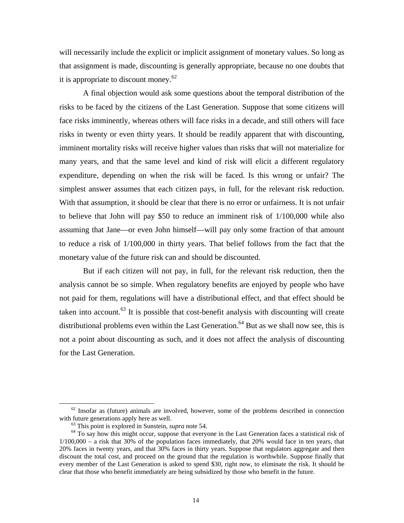will necessarily include the explicit or implicit assignment of monetary values. So long as that assignment is made, discounting is generally appropriate, because no one doubts that it is appropriate to discount money.<sup>62</sup>

A final objection would ask some questions about the temporal distribution of the risks to be faced by the citizens of the Last Generation. Suppose that some citizens will face risks imminently, whereas others will face risks in a decade, and still others will face risks in twenty or even thirty years. It should be readily apparent that with discounting, imminent mortality risks will receive higher values than risks that will not materialize for many years, and that the same level and kind of risk will elicit a different regulatory expenditure, depending on when the risk will be faced. Is this wrong or unfair? The simplest answer assumes that each citizen pays, in full, for the relevant risk reduction. With that assumption, it should be clear that there is no error or unfairness. It is not unfair to believe that John will pay \$50 to reduce an imminent risk of 1/100,000 while also assuming that Jane—or even John himself—will pay only some fraction of that amount to reduce a risk of 1/100,000 in thirty years. That belief follows from the fact that the monetary value of the future risk can and should be discounted.

But if each citizen will not pay, in full, for the relevant risk reduction, then the analysis cannot be so simple. When regulatory benefits are enjoyed by people who have not paid for them, regulations will have a distributional effect, and that effect should be taken into account.<sup>63</sup> It is possible that cost-benefit analysis with discounting will create distributional problems even within the Last Generation.<sup>64</sup> But as we shall now see, this is not a point about discounting as such, and it does not affect the analysis of discounting for the Last Generation.

 $62$  Insofar as (future) animals are involved, however, some of the problems described in connection with future generations apply here as well.<br><sup>63</sup> This point is explored in Sunstein, *supra* note 54.<br><sup>64</sup> To say how this might occur, suppose that everyone in the Last Generation faces a statistical risk of

<sup>1/100,000 –</sup> a risk that 30% of the population faces immediately, that 20% would face in ten years, that 20% faces in twenty years, and that 30% faces in thirty years. Suppose that regulators aggregate and then discount the total cost, and proceed on the ground that the regulation is worthwhile. Suppose finally that every member of the Last Generation is asked to spend \$30, right now, to eliminate the risk. It should be clear that those who benefit immediately are being subsidized by those who benefit in the future.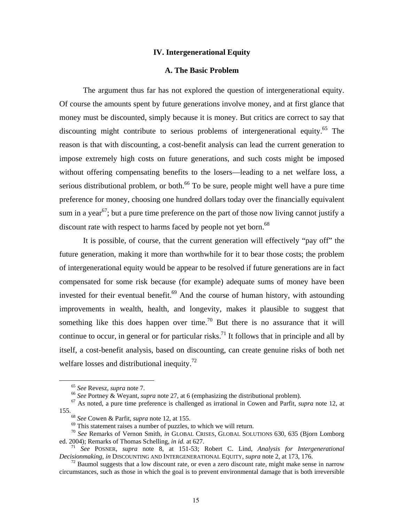#### **IV. Intergenerational Equity**

#### **A. The Basic Problem**

The argument thus far has not explored the question of intergenerational equity. Of course the amounts spent by future generations involve money, and at first glance that money must be discounted, simply because it is money. But critics are correct to say that discounting might contribute to serious problems of intergenerational equity.<sup>65</sup> The reason is that with discounting, a cost-benefit analysis can lead the current generation to impose extremely high costs on future generations, and such costs might be imposed without offering compensating benefits to the losers—leading to a net welfare loss, a serious distributional problem, or both.<sup>66</sup> To be sure, people might well have a pure time preference for money, choosing one hundred dollars today over the financially equivalent sum in a year<sup>67</sup>; but a pure time preference on the part of those now living cannot justify a discount rate with respect to harms faced by people not yet born.<sup>68</sup>

It is possible, of course, that the current generation will effectively "pay off" the future generation, making it more than worthwhile for it to bear those costs; the problem of intergenerational equity would be appear to be resolved if future generations are in fact compensated for some risk because (for example) adequate sums of money have been invested for their eventual benefit.<sup>69</sup> And the course of human history, with astounding improvements in wealth, health, and longevity, makes it plausible to suggest that something like this does happen over time.<sup>70</sup> But there is no assurance that it will continue to occur, in general or for particular risks.<sup>71</sup> It follows that in principle and all by itself, a cost-benefit analysis, based on discounting, can create genuine risks of both net welfare losses and distributional inequity.<sup>72</sup>

<sup>&</sup>lt;sup>65</sup> See Revesz, *supra* note 7.<br><sup>66</sup> See Portney & Weyant, *supra* note 27, at 6 (emphasizing the distributional problem).<br><sup>67</sup> As noted, a pure time preference is challenged as irrational in Cowen and Parfit, *supra* no 155. 68 *See* Cowen & Parfit, *supra* note 12, at 155. 69 This statement raises a number of puzzles, to which we will return.

<sup>70</sup> *See* Remarks of Vernon Smith, *in* GLOBAL CRISES, GLOBAL SOLUTIONS 630, 635 (Bjorn Lomborg

ed. 2004); Remarks of Thomas Schelling, *in id.* at 627.<br><sup>71</sup> *See* POSNER, *supra* note 8, at 151-53; Robert C. Lind, *Analysis for Intergenerational Decisionmaking, in* DISCOUNTING AND INTERGENERATIONAL EQUITY, *supr* 

 $^{72}$  Baumol suggests that a low discount rate, or even a zero discount rate, might make sense in narrow circumstances, such as those in which the goal is to prevent environmental damage that is both irreversible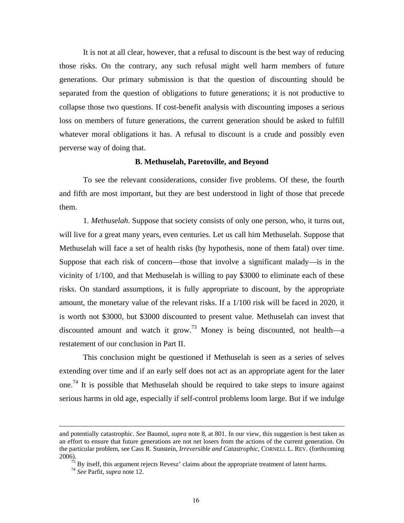It is not at all clear, however, that a refusal to discount is the best way of reducing those risks. On the contrary, any such refusal might well harm members of future generations. Our primary submission is that the question of discounting should be separated from the question of obligations to future generations; it is not productive to collapse those two questions. If cost-benefit analysis with discounting imposes a serious loss on members of future generations, the current generation should be asked to fulfill whatever moral obligations it has. A refusal to discount is a crude and possibly even perverse way of doing that.

#### **B. Methuselah, Paretoville, and Beyond**

To see the relevant considerations, consider five problems. Of these, the fourth and fifth are most important, but they are best understood in light of those that precede them.

1*. Methuselah*. Suppose that society consists of only one person, who, it turns out, will live for a great many years, even centuries. Let us call him Methuselah. Suppose that Methuselah will face a set of health risks (by hypothesis, none of them fatal) over time. Suppose that each risk of concern—those that involve a significant malady—is in the vicinity of 1/100, and that Methuselah is willing to pay \$3000 to eliminate each of these risks. On standard assumptions, it is fully appropriate to discount, by the appropriate amount, the monetary value of the relevant risks. If a 1/100 risk will be faced in 2020, it is worth not \$3000, but \$3000 discounted to present value. Methuselah can invest that discounted amount and watch it grow.<sup>73</sup> Money is being discounted, not health—a restatement of our conclusion in Part II.

This conclusion might be questioned if Methuselah is seen as a series of selves extending over time and if an early self does not act as an appropriate agent for the later one.<sup>74</sup> It is possible that Methuselah should be required to take steps to insure against serious harms in old age, especially if self-control problems loom large. But if we indulge

 $\overline{a}$ 

and potentially catastrophic. *See* Baumol, *supra* note 8, at 801. In our view, this suggestion is best taken as an effort to ensure that future generations are not net losers from the actions of the current generation. On the particular problem, see Cass R. Sunstein, *Irreversible and Catastrophic*, CORNELL L. REV. (forthcoming 2006). <sup>73</sup> By itself, this argument rejects Revesz' claims about the appropriate treatment of latent harms.

<sup>74</sup> *See* Parfit, *supra* note 12.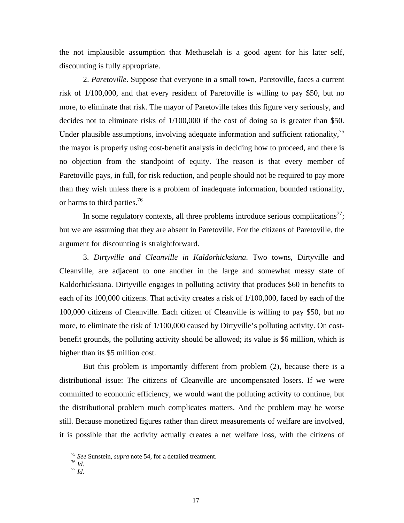the not implausible assumption that Methuselah is a good agent for his later self, discounting is fully appropriate.

2. *Paretoville*. Suppose that everyone in a small town, Paretoville, faces a current risk of 1/100,000, and that every resident of Paretoville is willing to pay \$50, but no more, to eliminate that risk. The mayor of Paretoville takes this figure very seriously, and decides not to eliminate risks of 1/100,000 if the cost of doing so is greater than \$50. Under plausible assumptions, involving adequate information and sufficient rationality, $\frac{1}{5}$ the mayor is properly using cost-benefit analysis in deciding how to proceed, and there is no objection from the standpoint of equity. The reason is that every member of Paretoville pays, in full, for risk reduction, and people should not be required to pay more than they wish unless there is a problem of inadequate information, bounded rationality, or harms to third parties.<sup>76</sup>

In some regulatory contexts, all three problems introduce serious complications<sup>77</sup>; but we are assuming that they are absent in Paretoville. For the citizens of Paretoville, the argument for discounting is straightforward.

3. *Dirtyville and Cleanville in Kaldorhicksiana*. Two towns, Dirtyville and Cleanville, are adjacent to one another in the large and somewhat messy state of Kaldorhicksiana. Dirtyville engages in polluting activity that produces \$60 in benefits to each of its 100,000 citizens. That activity creates a risk of 1/100,000, faced by each of the 100,000 citizens of Cleanville. Each citizen of Cleanville is willing to pay \$50, but no more, to eliminate the risk of 1/100,000 caused by Dirtyville's polluting activity. On costbenefit grounds, the polluting activity should be allowed; its value is \$6 million, which is higher than its \$5 million cost.

But this problem is importantly different from problem (2), because there is a distributional issue: The citizens of Cleanville are uncompensated losers. If we were committed to economic efficiency, we would want the polluting activity to continue, but the distributional problem much complicates matters. And the problem may be worse still. Because monetized figures rather than direct measurements of welfare are involved, it is possible that the activity actually creates a net welfare loss, with the citizens of

<sup>75</sup> *See* Sunstein, *supra* note 54, for a detailed treatment. 76 *Id.* <sup>77</sup> *Id.*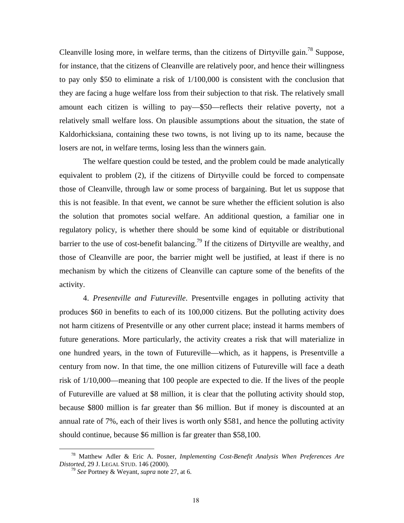Cleanville losing more, in welfare terms, than the citizens of Dirtyville gain.<sup>78</sup> Suppose, for instance, that the citizens of Cleanville are relatively poor, and hence their willingness to pay only \$50 to eliminate a risk of 1/100,000 is consistent with the conclusion that they are facing a huge welfare loss from their subjection to that risk. The relatively small amount each citizen is willing to pay—\$50—reflects their relative poverty, not a relatively small welfare loss. On plausible assumptions about the situation, the state of Kaldorhicksiana, containing these two towns, is not living up to its name, because the losers are not, in welfare terms, losing less than the winners gain.

The welfare question could be tested, and the problem could be made analytically equivalent to problem (2), if the citizens of Dirtyville could be forced to compensate those of Cleanville, through law or some process of bargaining. But let us suppose that this is not feasible. In that event, we cannot be sure whether the efficient solution is also the solution that promotes social welfare. An additional question, a familiar one in regulatory policy, is whether there should be some kind of equitable or distributional barrier to the use of cost-benefit balancing.<sup>79</sup> If the citizens of Dirtyville are wealthy, and those of Cleanville are poor, the barrier might well be justified, at least if there is no mechanism by which the citizens of Cleanville can capture some of the benefits of the activity.

4. *Presentville and Futureville*. Presentville engages in polluting activity that produces \$60 in benefits to each of its 100,000 citizens. But the polluting activity does not harm citizens of Presentville or any other current place; instead it harms members of future generations. More particularly, the activity creates a risk that will materialize in one hundred years, in the town of Futureville—which, as it happens, is Presentville a century from now. In that time, the one million citizens of Futureville will face a death risk of 1/10,000—meaning that 100 people are expected to die. If the lives of the people of Futureville are valued at \$8 million, it is clear that the polluting activity should stop, because \$800 million is far greater than \$6 million. But if money is discounted at an annual rate of 7%, each of their lives is worth only \$581, and hence the polluting activity should continue, because \$6 million is far greater than \$58,100.

78 Matthew Adler & Eric A. Posner, *Implementing Cost-Benefit Analysis When Preferences Are* 

<sup>&</sup>lt;sup>79</sup> See Portney & Weyant, *supra* note 27, at 6.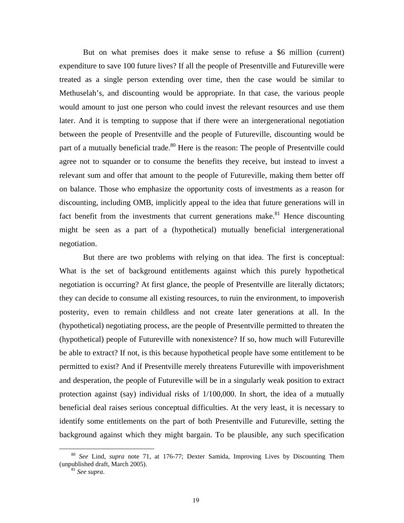But on what premises does it make sense to refuse a \$6 million (current) expenditure to save 100 future lives? If all the people of Presentville and Futureville were treated as a single person extending over time, then the case would be similar to Methuselah's, and discounting would be appropriate. In that case, the various people would amount to just one person who could invest the relevant resources and use them later. And it is tempting to suppose that if there were an intergenerational negotiation between the people of Presentville and the people of Futureville, discounting would be part of a mutually beneficial trade.<sup>80</sup> Here is the reason: The people of Presentville could agree not to squander or to consume the benefits they receive, but instead to invest a relevant sum and offer that amount to the people of Futureville, making them better off on balance. Those who emphasize the opportunity costs of investments as a reason for discounting, including OMB, implicitly appeal to the idea that future generations will in fact benefit from the investments that current generations make.<sup>81</sup> Hence discounting might be seen as a part of a (hypothetical) mutually beneficial intergenerational negotiation.

But there are two problems with relying on that idea. The first is conceptual: What is the set of background entitlements against which this purely hypothetical negotiation is occurring? At first glance, the people of Presentville are literally dictators; they can decide to consume all existing resources, to ruin the environment, to impoverish posterity, even to remain childless and not create later generations at all. In the (hypothetical) negotiating process, are the people of Presentville permitted to threaten the (hypothetical) people of Futureville with nonexistence? If so, how much will Futureville be able to extract? If not, is this because hypothetical people have some entitlement to be permitted to exist? And if Presentville merely threatens Futureville with impoverishment and desperation, the people of Futureville will be in a singularly weak position to extract protection against (say) individual risks of 1/100,000. In short, the idea of a mutually beneficial deal raises serious conceptual difficulties. At the very least, it is necessary to identify some entitlements on the part of both Presentville and Futureville, setting the background against which they might bargain. To be plausible, any such specification

<sup>80</sup> *See* Lind, *supra* note 71, at 176-77; Dexter Samida, Improving Lives by Discounting Them (unpublished draft, March 2005). 81 *See supra*.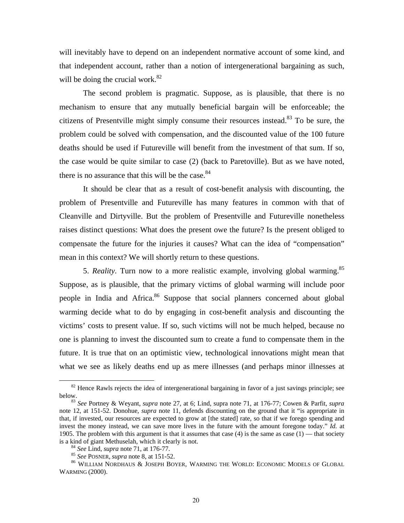will inevitably have to depend on an independent normative account of some kind, and that independent account, rather than a notion of intergenerational bargaining as such, will be doing the crucial work. $82$ 

The second problem is pragmatic. Suppose, as is plausible, that there is no mechanism to ensure that any mutually beneficial bargain will be enforceable; the citizens of Presentville might simply consume their resources instead.<sup>83</sup> To be sure, the problem could be solved with compensation, and the discounted value of the 100 future deaths should be used if Futureville will benefit from the investment of that sum. If so, the case would be quite similar to case (2) (back to Paretoville). But as we have noted, there is no assurance that this will be the case.  $84$ 

It should be clear that as a result of cost-benefit analysis with discounting, the problem of Presentville and Futureville has many features in common with that of Cleanville and Dirtyville. But the problem of Presentville and Futureville nonetheless raises distinct questions: What does the present owe the future? Is the present obliged to compensate the future for the injuries it causes? What can the idea of "compensation" mean in this context? We will shortly return to these questions.

5. *Reality*. Turn now to a more realistic example, involving global warming.85 Suppose, as is plausible, that the primary victims of global warming will include poor people in India and Africa.<sup>86</sup> Suppose that social planners concerned about global warming decide what to do by engaging in cost-benefit analysis and discounting the victims' costs to present value. If so, such victims will not be much helped, because no one is planning to invest the discounted sum to create a fund to compensate them in the future. It is true that on an optimistic view, technological innovations might mean that what we see as likely deaths end up as mere illnesses (and perhaps minor illnesses at

 $82$  Hence Rawls rejects the idea of intergenerational bargaining in favor of a just savings principle; see below. 83 *See* Portney & Weyant, *supra* note 27, at 6; Lind, supra note 71, at 176-77; Cowen & Parfit, *supra*

note 12, at 151-52. Donohue, *supra* note 11, defends discounting on the ground that it "is appropriate in that, if invested, our resources are expected to grow at [the stated] rate, so that if we forego spending and invest the money instead, we can save more lives in the future with the amount foregone today." *Id.* at 1905. The problem with this argument is that it assumes that case (4) is the same as case (1) — that society is a kind of giant Methuselah, which it clearly is not.<br>  $^{84}$  See Lind, *supra* note 71, at 176-77.<br>  $^{85}$  See POSNER, *supra* note 8, at 151-52.<br>  $^{86}$  WILLIAM NORDHAUS & JOSEPH BOYER, WARMING THE WORLD: ECONOMIC MOD

WARMING (2000).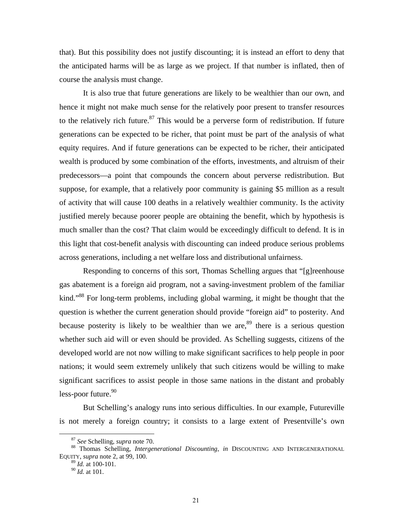that). But this possibility does not justify discounting; it is instead an effort to deny that the anticipated harms will be as large as we project. If that number is inflated, then of course the analysis must change.

It is also true that future generations are likely to be wealthier than our own, and hence it might not make much sense for the relatively poor present to transfer resources to the relatively rich future.<sup>87</sup> This would be a perverse form of redistribution. If future generations can be expected to be richer, that point must be part of the analysis of what equity requires. And if future generations can be expected to be richer, their anticipated wealth is produced by some combination of the efforts, investments, and altruism of their predecessors—a point that compounds the concern about perverse redistribution. But suppose, for example, that a relatively poor community is gaining \$5 million as a result of activity that will cause 100 deaths in a relatively wealthier community. Is the activity justified merely because poorer people are obtaining the benefit, which by hypothesis is much smaller than the cost? That claim would be exceedingly difficult to defend. It is in this light that cost-benefit analysis with discounting can indeed produce serious problems across generations, including a net welfare loss and distributional unfairness.

Responding to concerns of this sort, Thomas Schelling argues that "[g]reenhouse gas abatement is a foreign aid program, not a saving-investment problem of the familiar kind."88 For long-term problems, including global warming, it might be thought that the question is whether the current generation should provide "foreign aid" to posterity. And because posterity is likely to be wealthier than we are,  $89$  there is a serious question whether such aid will or even should be provided. As Schelling suggests, citizens of the developed world are not now willing to make significant sacrifices to help people in poor nations; it would seem extremely unlikely that such citizens would be willing to make significant sacrifices to assist people in those same nations in the distant and probably less-poor future.<sup>90</sup>

But Schelling's analogy runs into serious difficulties. In our example, Futureville is not merely a foreign country; it consists to a large extent of Presentville's own

<sup>&</sup>lt;sup>87</sup> *See* Schelling, *supra* note 70. **88** Thomas Schelling, *Intergenerational Discounting*, *in* DISCOUNTING AND INTERGENERATIONAL EQUITY, *supra* note 2, at 99, 100.

<sup>89</sup> *Id.* at 100-101.

<sup>90</sup> *Id.* at 101.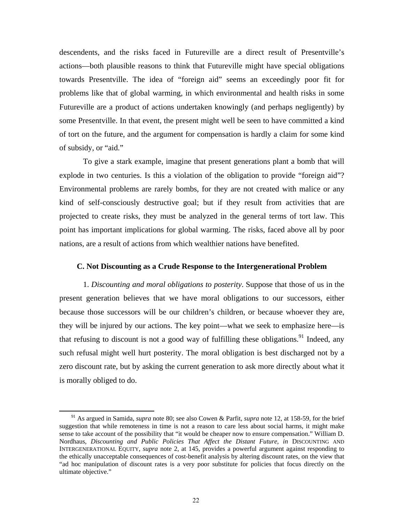descendents, and the risks faced in Futureville are a direct result of Presentville's actions—both plausible reasons to think that Futureville might have special obligations towards Presentville. The idea of "foreign aid" seems an exceedingly poor fit for problems like that of global warming, in which environmental and health risks in some Futureville are a product of actions undertaken knowingly (and perhaps negligently) by some Presentville. In that event, the present might well be seen to have committed a kind of tort on the future, and the argument for compensation is hardly a claim for some kind of subsidy, or "aid."

To give a stark example, imagine that present generations plant a bomb that will explode in two centuries. Is this a violation of the obligation to provide "foreign aid"? Environmental problems are rarely bombs, for they are not created with malice or any kind of self-consciously destructive goal; but if they result from activities that are projected to create risks, they must be analyzed in the general terms of tort law. This point has important implications for global warming. The risks, faced above all by poor nations, are a result of actions from which wealthier nations have benefited.

#### **C. Not Discounting as a Crude Response to the Intergenerational Problem**

1. *Discounting and moral obligations to posterity*. Suppose that those of us in the present generation believes that we have moral obligations to our successors, either because those successors will be our children's children, or because whoever they are, they will be injured by our actions. The key point—what we seek to emphasize here—is that refusing to discount is not a good way of fulfilling these obligations.<sup>91</sup> Indeed, any such refusal might well hurt posterity. The moral obligation is best discharged not by a zero discount rate, but by asking the current generation to ask more directly about what it is morally obliged to do.

91 As argued in Samida, *supra* note 80; see also Cowen & Parfit, *supra* note 12, at 158-59, for the brief suggestion that while remoteness in time is not a reason to care less about social harms, it might make sense to take account of the possibility that "it would be cheaper now to ensure compensation." William D. Nordhaus, *Discounting and Public Policies That Affect the Distant Future*, *in* DISCOUNTING AND INTERGENERATIONAL EQUITY, *supra* note 2, at 145, provides a powerful argument against responding to the ethically unacceptable consequences of cost-benefit analysis by altering discount rates, on the view that "ad hoc manipulation of discount rates is a very poor substitute for policies that focus directly on the ultimate objective."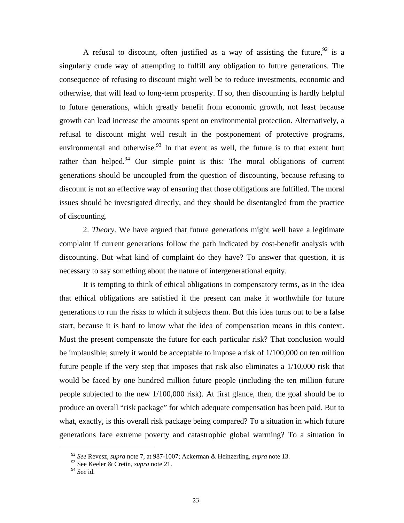A refusal to discount, often justified as a way of assisting the future,  $92$  is a singularly crude way of attempting to fulfill any obligation to future generations. The consequence of refusing to discount might well be to reduce investments, economic and otherwise, that will lead to long-term prosperity. If so, then discounting is hardly helpful to future generations, which greatly benefit from economic growth, not least because growth can lead increase the amounts spent on environmental protection. Alternatively, a refusal to discount might well result in the postponement of protective programs, environmental and otherwise. $93$  In that event as well, the future is to that extent hurt rather than helped. $94$  Our simple point is this: The moral obligations of current generations should be uncoupled from the question of discounting, because refusing to discount is not an effective way of ensuring that those obligations are fulfilled. The moral issues should be investigated directly, and they should be disentangled from the practice of discounting.

2. *Theory*. We have argued that future generations might well have a legitimate complaint if current generations follow the path indicated by cost-benefit analysis with discounting. But what kind of complaint do they have? To answer that question, it is necessary to say something about the nature of intergenerational equity.

It is tempting to think of ethical obligations in compensatory terms, as in the idea that ethical obligations are satisfied if the present can make it worthwhile for future generations to run the risks to which it subjects them. But this idea turns out to be a false start, because it is hard to know what the idea of compensation means in this context. Must the present compensate the future for each particular risk? That conclusion would be implausible; surely it would be acceptable to impose a risk of 1/100,000 on ten million future people if the very step that imposes that risk also eliminates a 1/10,000 risk that would be faced by one hundred million future people (including the ten million future people subjected to the new 1/100,000 risk). At first glance, then, the goal should be to produce an overall "risk package" for which adequate compensation has been paid. But to what, exactly, is this overall risk package being compared? To a situation in which future generations face extreme poverty and catastrophic global warming? To a situation in

<sup>92</sup> *See* Revesz, *supra* note 7, at 987-1007; Ackerman & Heinzerling, *supra* note 13.

<sup>93</sup> See Keeler & Cretin, *supra* note 21.

<sup>94</sup> *See* id.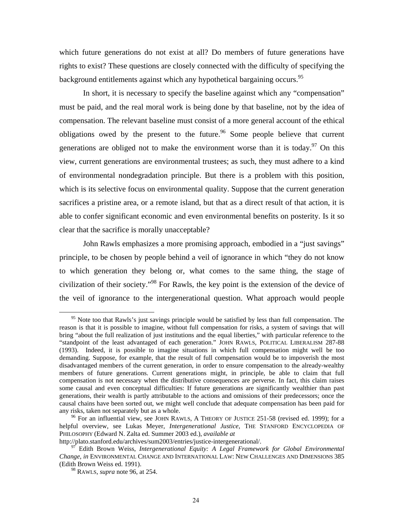which future generations do not exist at all? Do members of future generations have rights to exist? These questions are closely connected with the difficulty of specifying the background entitlements against which any hypothetical bargaining occurs.<sup>95</sup>

In short, it is necessary to specify the baseline against which any "compensation" must be paid, and the real moral work is being done by that baseline, not by the idea of compensation. The relevant baseline must consist of a more general account of the ethical obligations owed by the present to the future.<sup>96</sup> Some people believe that current generations are obliged not to make the environment worse than it is today.<sup>97</sup> On this view, current generations are environmental trustees; as such, they must adhere to a kind of environmental nondegradation principle. But there is a problem with this position, which is its selective focus on environmental quality. Suppose that the current generation sacrifices a pristine area, or a remote island, but that as a direct result of that action, it is able to confer significant economic and even environmental benefits on posterity. Is it so clear that the sacrifice is morally unacceptable?

John Rawls emphasizes a more promising approach, embodied in a "just savings" principle, to be chosen by people behind a veil of ignorance in which "they do not know to which generation they belong or, what comes to the same thing, the stage of civilization of their society."98 For Rawls, the key point is the extension of the device of the veil of ignorance to the intergenerational question. What approach would people

<sup>&</sup>lt;sup>95</sup> Note too that Rawls's just savings principle would be satisfied by less than full compensation. The reason is that it is possible to imagine, without full compensation for risks, a system of savings that will bring "about the full realization of just institutions and the equal liberties," with particular reference to the "standpoint of the least advantaged of each generation." JOHN RAWLS, POLITICAL LIBERALISM 287-88 (1993). Indeed, it is possible to imagine situations in which full compensation might well be too demanding. Suppose, for example, that the result of full compensation would be to impoverish the most disadvantaged members of the current generation, in order to ensure compensation to the already-wealthy members of future generations. Current generations might, in principle, be able to claim that full compensation is not necessary when the distributive consequences are perverse. In fact, this claim raises some causal and even conceptual difficulties: If future generations are significantly wealthier than past generations, their wealth is partly attributable to the actions and omissions of their predecessors; once the causal chains have been sorted out, we might well conclude that adequate compensation has been paid for any risks, taken not separately but as a whole.<br><sup>96</sup> For an influential view, see JOHN RAWLS, A THEORY OF JUSTICE 251-58 (revised ed. 1999); for a

helpful overview, see Lukas Meyer, *Intergenerational Justice*, THE STANFORD ENCYCLOPEDIA OF PHILOSOPHY (Edward N. Zalta ed. Summer 2003 ed.), *available at*

http://plato.stanford.edu/archives/sum2003/entries/justice-intergenerational/. 97 Edith Brown Weiss, *Intergenerational Equity: A Legal Framework for Global Environmental Change*, *in* ENVIRONMENTAL CHANGE AND INTERNATIONAL LAW: NEW CHALLENGES AND DIMENSIONS 385 (Edith Brown Weiss ed. 1991).

<sup>98</sup> RAWLS, *supra* note 96, at 254.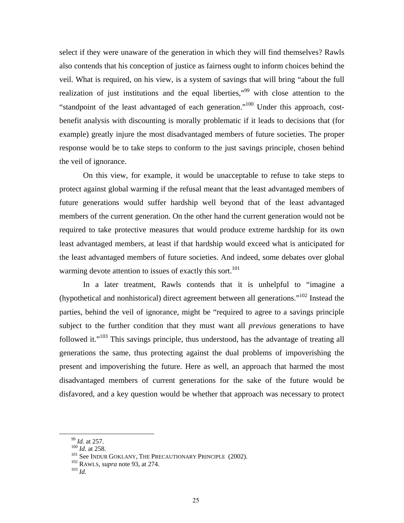select if they were unaware of the generation in which they will find themselves? Rawls also contends that his conception of justice as fairness ought to inform choices behind the veil. What is required, on his view, is a system of savings that will bring "about the full realization of just institutions and the equal liberties,<sup>"99</sup> with close attention to the "standpoint of the least advantaged of each generation."100 Under this approach, costbenefit analysis with discounting is morally problematic if it leads to decisions that (for example) greatly injure the most disadvantaged members of future societies. The proper response would be to take steps to conform to the just savings principle, chosen behind the veil of ignorance.

On this view, for example, it would be unacceptable to refuse to take steps to protect against global warming if the refusal meant that the least advantaged members of future generations would suffer hardship well beyond that of the least advantaged members of the current generation. On the other hand the current generation would not be required to take protective measures that would produce extreme hardship for its own least advantaged members, at least if that hardship would exceed what is anticipated for the least advantaged members of future societies. And indeed, some debates over global warming devote attention to issues of exactly this sort.<sup>101</sup>

In a later treatment, Rawls contends that it is unhelpful to "imagine a (hypothetical and nonhistorical) direct agreement between all generations."<sup>102</sup> Instead the parties, behind the veil of ignorance, might be "required to agree to a savings principle subject to the further condition that they must want all *previous* generations to have followed it."<sup>103</sup> This savings principle, thus understood, has the advantage of treating all generations the same, thus protecting against the dual problems of impoverishing the present and impoverishing the future. Here as well, an approach that harmed the most disadvantaged members of current generations for the sake of the future would be disfavored, and a key question would be whether that approach was necessary to protect

<sup>&</sup>lt;sup>99</sup> *Id.* at 257.<br><sup>100</sup> *Id.* at 258.<br><sup>101</sup> See INDUR GOKLANY, THE PRECAUTIONARY PRINCIPLE (2002).<br><sup>102</sup> RAWLS, *supra* note 93, at 274.<br><sup>103</sup> *Id.*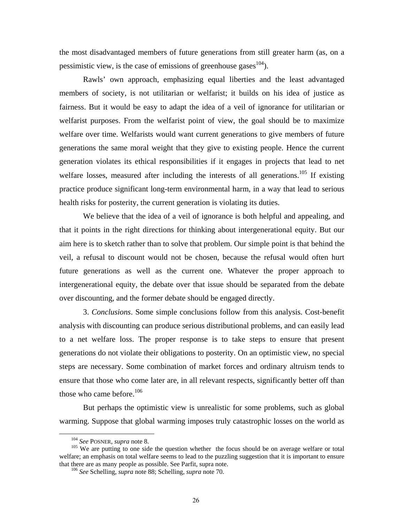the most disadvantaged members of future generations from still greater harm (as, on a pessimistic view, is the case of emissions of greenhouse gases  $104$ ).

Rawls' own approach, emphasizing equal liberties and the least advantaged members of society, is not utilitarian or welfarist; it builds on his idea of justice as fairness. But it would be easy to adapt the idea of a veil of ignorance for utilitarian or welfarist purposes. From the welfarist point of view, the goal should be to maximize welfare over time. Welfarists would want current generations to give members of future generations the same moral weight that they give to existing people. Hence the current generation violates its ethical responsibilities if it engages in projects that lead to net welfare losses, measured after including the interests of all generations.<sup>105</sup> If existing practice produce significant long-term environmental harm, in a way that lead to serious health risks for posterity, the current generation is violating its duties.

We believe that the idea of a veil of ignorance is both helpful and appealing, and that it points in the right directions for thinking about intergenerational equity. But our aim here is to sketch rather than to solve that problem. Our simple point is that behind the veil, a refusal to discount would not be chosen, because the refusal would often hurt future generations as well as the current one. Whatever the proper approach to intergenerational equity, the debate over that issue should be separated from the debate over discounting, and the former debate should be engaged directly.

3. *Conclusions*. Some simple conclusions follow from this analysis. Cost-benefit analysis with discounting can produce serious distributional problems, and can easily lead to a net welfare loss. The proper response is to take steps to ensure that present generations do not violate their obligations to posterity. On an optimistic view, no special steps are necessary. Some combination of market forces and ordinary altruism tends to ensure that those who come later are, in all relevant respects, significantly better off than those who came before. $106$ 

But perhaps the optimistic view is unrealistic for some problems, such as global warming. Suppose that global warming imposes truly catastrophic losses on the world as

<sup>&</sup>lt;sup>104</sup> See POSNER, *supra* note 8.<br><sup>105</sup> We are putting to one side the question whether the focus should be on average welfare or total welfare; an emphasis on total welfare seems to lead to the puzzling suggestion that it is important to ensure that there are as many people as possible. See Parfit, supra note. 106 *See* Schelling, *supra* note 88; Schelling, *supra* note 70.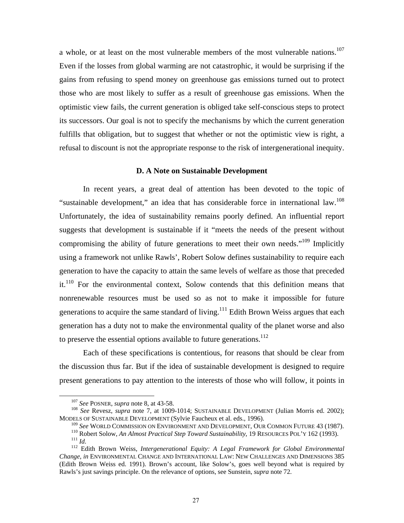a whole, or at least on the most vulnerable members of the most vulnerable nations.<sup>107</sup> Even if the losses from global warming are not catastrophic, it would be surprising if the gains from refusing to spend money on greenhouse gas emissions turned out to protect those who are most likely to suffer as a result of greenhouse gas emissions. When the optimistic view fails, the current generation is obliged take self-conscious steps to protect its successors. Our goal is not to specify the mechanisms by which the current generation fulfills that obligation, but to suggest that whether or not the optimistic view is right, a refusal to discount is not the appropriate response to the risk of intergenerational inequity.

#### **D. A Note on Sustainable Development**

 In recent years, a great deal of attention has been devoted to the topic of "sustainable development," an idea that has considerable force in international law.<sup>108</sup> Unfortunately, the idea of sustainability remains poorly defined. An influential report suggests that development is sustainable if it "meets the needs of the present without compromising the ability of future generations to meet their own needs."<sup>109</sup> Implicitly using a framework not unlike Rawls', Robert Solow defines sustainability to require each generation to have the capacity to attain the same levels of welfare as those that preceded it.<sup>110</sup> For the environmental context, Solow contends that this definition means that nonrenewable resources must be used so as not to make it impossible for future generations to acquire the same standard of living.<sup>111</sup> Edith Brown Weiss argues that each generation has a duty not to make the environmental quality of the planet worse and also to preserve the essential options available to future generations.<sup>112</sup>

 Each of these specifications is contentious, for reasons that should be clear from the discussion thus far. But if the idea of sustainable development is designed to require present generations to pay attention to the interests of those who will follow, it points in

<sup>&</sup>lt;sup>107</sup> *See* POSNER, *supra* note 8, at 43-58.<br><sup>108</sup> *See* Revesz, *supra* note 7, at 1009-1014; SUSTAINABLE DEVELOPMENT (Julian Morris ed. 2002); MODELS OF SUSTAINABLE DEVELOPMENT (Sylvie Faucheux et al. eds., 1996).<br><sup>109</sup> See WORLD COMMISSION ON ENVIRONMENT AND DEVELOPMENT, OUR COMMON FUTURE 43 (1987).

<sup>&</sup>lt;sup>110</sup> Robert Solow, *An Almost Practical Step Toward Sustainability*, 19 RESOURCES POL'Y 162 (1993).<br><sup>111</sup> *Id.* Edith Brown Weiss, *Intergenerational Equity: A Legal Framework for Global Environmental* 

*Change*, *in* ENVIRONMENTAL CHANGE AND INTERNATIONAL LAW: NEW CHALLENGES AND DIMENSIONS 385 (Edith Brown Weiss ed. 1991). Brown's account, like Solow's, goes well beyond what is required by Rawls's just savings principle. On the relevance of options, see Sunstein, *supra* note 72.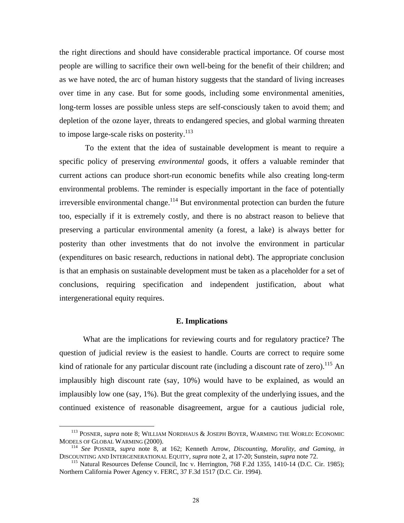the right directions and should have considerable practical importance. Of course most people are willing to sacrifice their own well-being for the benefit of their children; and as we have noted, the arc of human history suggests that the standard of living increases over time in any case. But for some goods, including some environmental amenities, long-term losses are possible unless steps are self-consciously taken to avoid them; and depletion of the ozone layer, threats to endangered species, and global warming threaten to impose large-scale risks on posterity.<sup>113</sup>

 To the extent that the idea of sustainable development is meant to require a specific policy of preserving *environmental* goods, it offers a valuable reminder that current actions can produce short-run economic benefits while also creating long-term environmental problems. The reminder is especially important in the face of potentially irreversible environmental change.<sup>114</sup> But environmental protection can burden the future too, especially if it is extremely costly, and there is no abstract reason to believe that preserving a particular environmental amenity (a forest, a lake) is always better for posterity than other investments that do not involve the environment in particular (expenditures on basic research, reductions in national debt). The appropriate conclusion is that an emphasis on sustainable development must be taken as a placeholder for a set of conclusions, requiring specification and independent justification, about what intergenerational equity requires.

#### **E. Implications**

 What are the implications for reviewing courts and for regulatory practice? The question of judicial review is the easiest to handle. Courts are correct to require some kind of rationale for any particular discount rate (including a discount rate of zero).<sup>115</sup> An implausibly high discount rate (say, 10%) would have to be explained, as would an implausibly low one (say, 1%). But the great complexity of the underlying issues, and the continued existence of reasonable disagreement, argue for a cautious judicial role,

<sup>&</sup>lt;sup>113</sup> POSNER, *supra* note 8; WILLIAM NORDHAUS & JOSEPH BOYER, WARMING THE WORLD: ECONOMIC MODELS OF GLOBAL WARMING (2000).

<sup>&</sup>lt;sup>114</sup> *See* POSNER, *supra* note 8, at 162; Kenneth Arrow, *Discounting, Morality, and Gaming, in* DISCOUNTING AND INTERGENERATIONAL EQUITY, *supra* note 2, at 17-20; Sunstein, *supra* note 72.

<sup>&</sup>lt;sup>115</sup> Natural Resources Defense Council, Inc v. Herrington, 768 F.2d 1355, 1410-14 (D.C. Cir. 1985); Northern California Power Agency v. FERC, 37 F.3d 1517 (D.C. Cir. 1994).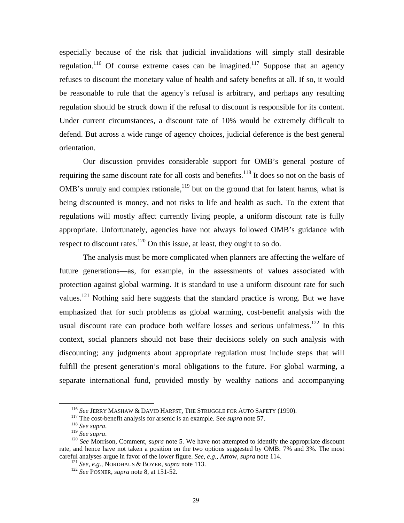especially because of the risk that judicial invalidations will simply stall desirable regulation.<sup>116</sup> Of course extreme cases can be imagined.<sup>117</sup> Suppose that an agency refuses to discount the monetary value of health and safety benefits at all. If so, it would be reasonable to rule that the agency's refusal is arbitrary, and perhaps any resulting regulation should be struck down if the refusal to discount is responsible for its content. Under current circumstances, a discount rate of 10% would be extremely difficult to defend. But across a wide range of agency choices, judicial deference is the best general orientation.

 Our discussion provides considerable support for OMB's general posture of requiring the same discount rate for all costs and benefits.<sup>118</sup> It does so not on the basis of OMB's unruly and complex rationale,  $119$  but on the ground that for latent harms, what is being discounted is money, and not risks to life and health as such. To the extent that regulations will mostly affect currently living people, a uniform discount rate is fully appropriate. Unfortunately, agencies have not always followed OMB's guidance with respect to discount rates.<sup>120</sup> On this issue, at least, they ought to so do.

The analysis must be more complicated when planners are affecting the welfare of future generations—as, for example, in the assessments of values associated with protection against global warming. It is standard to use a uniform discount rate for such values.<sup>121</sup> Nothing said here suggests that the standard practice is wrong. But we have emphasized that for such problems as global warming, cost-benefit analysis with the usual discount rate can produce both welfare losses and serious unfairness.<sup>122</sup> In this context, social planners should not base their decisions solely on such analysis with discounting; any judgments about appropriate regulation must include steps that will fulfill the present generation's moral obligations to the future. For global warming, a separate international fund, provided mostly by wealthy nations and accompanying

<sup>&</sup>lt;sup>116</sup> See JERRY MASHAW & DAVID HARFST, THE STRUGGLE FOR AUTO SAFETY (1990).<br><sup>117</sup> The cost-benefit analysis for arsenic is an example. See *supra* note 57.<br><sup>118</sup> See *supra*.<br><sup>119</sup> See *supra*.<br><sup>120</sup> See Morrison, Comment rate, and hence have not taken a position on the two options suggested by OMB: 7% and 3%. The most careful analyses argue in favor of the lower figure. *See, e.g.*, Arrow, *supra* note 114. 121 *See, e.g.*, NORDHAUS & BOYER, *supra* note 113. 122 *See* POSNER, *supra* note 8, at 151-52.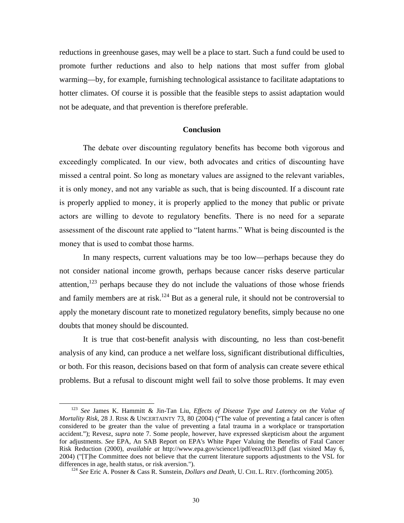reductions in greenhouse gases, may well be a place to start. Such a fund could be used to promote further reductions and also to help nations that most suffer from global warming—by, for example, furnishing technological assistance to facilitate adaptations to hotter climates. Of course it is possible that the feasible steps to assist adaptation would not be adequate, and that prevention is therefore preferable.

#### **Conclusion**

The debate over discounting regulatory benefits has become both vigorous and exceedingly complicated. In our view, both advocates and critics of discounting have missed a central point. So long as monetary values are assigned to the relevant variables, it is only money, and not any variable as such, that is being discounted. If a discount rate is properly applied to money, it is properly applied to the money that public or private actors are willing to devote to regulatory benefits. There is no need for a separate assessment of the discount rate applied to "latent harms." What is being discounted is the money that is used to combat those harms.

In many respects, current valuations may be too low—perhaps because they do not consider national income growth, perhaps because cancer risks deserve particular attention,<sup>123</sup> perhaps because they do not include the valuations of those whose friends and family members are at risk.<sup>124</sup> But as a general rule, it should not be controversial to apply the monetary discount rate to monetized regulatory benefits, simply because no one doubts that money should be discounted.

It is true that cost-benefit analysis with discounting, no less than cost-benefit analysis of any kind, can produce a net welfare loss, significant distributional difficulties, or both. For this reason, decisions based on that form of analysis can create severe ethical problems. But a refusal to discount might well fail to solve those problems. It may even

<sup>123</sup> *See* James K. Hammitt & Jin-Tan Liu, *Effects of Disease Type and Latency on the Value of Mortality Risk*, 28 J. RISK & UNCERTAINTY 73, 80 (2004) ("The value of preventing a fatal cancer is often considered to be greater than the value of preventing a fatal trauma in a workplace or transportation accident."); Revesz, *supra* note 7. Some people, however, have expressed skepticism about the argument for adjustments. *See* EPA, An SAB Report on EPA's White Paper Valuing the Benefits of Fatal Cancer Risk Reduction (2000), *available at* http://www.epa.gov/science1/pdf/eeacf013.pdf (last visited May 6, 2004) ("[T]he Committee does not believe that the current literature supports adjustments to the VSL for differences in age, health status, or risk aversion."). 124 *See* Eric A. Posner & Cass R. Sunstein, *Dollars and Death*, U. CHI. L. REV. (forthcoming 2005).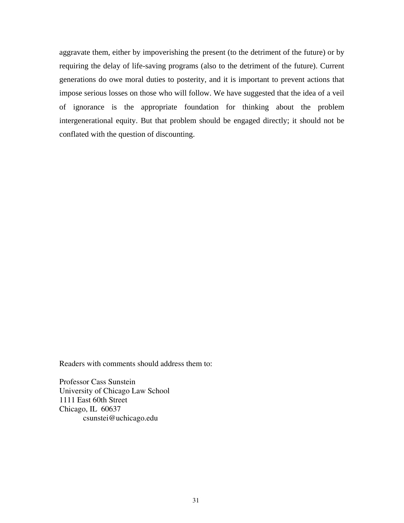aggravate them, either by impoverishing the present (to the detriment of the future) or by requiring the delay of life-saving programs (also to the detriment of the future). Current generations do owe moral duties to posterity, and it is important to prevent actions that impose serious losses on those who will follow. We have suggested that the idea of a veil of ignorance is the appropriate foundation for thinking about the problem intergenerational equity. But that problem should be engaged directly; it should not be conflated with the question of discounting.

Readers with comments should address them to:

Professor Cass Sunstein University of Chicago Law School 1111 East 60th Street Chicago, IL 60637 csunstei@uchicago.edu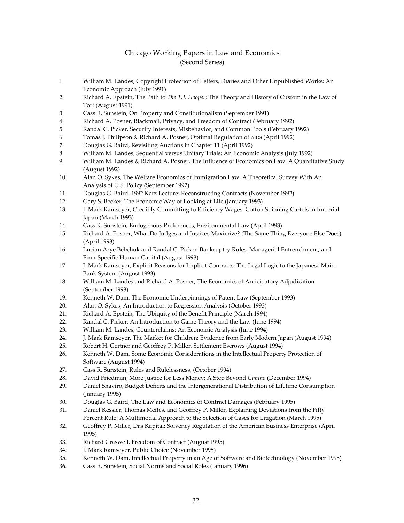#### Chicago Working Papers in Law and Economics (Second Series)

- 1. William M. Landes, Copyright Protection of Letters, Diaries and Other Unpublished Works: An Economic Approach (July 1991)
- 2. Richard A. Epstein, The Path to *The T.J. Hooper*: The Theory and History of Custom in the Law of Tort (August 1991)
- 3. Cass R. Sunstein, On Property and Constitutionalism (September 1991)
- 4. Richard A. Posner, Blackmail, Privacy, and Freedom of Contract (February 1992)
- 5. Randal C. Picker, Security Interests, Misbehavior, and Common Pools (February 1992)
- 6. Tomas J. Philipson & Richard A. Posner, Optimal Regulation of AIDS (April 1992)
- 7. Douglas G. Baird, Revisiting Auctions in Chapter 11 (April 1992)
- 8. William M. Landes, Sequential versus Unitary Trials: An Economic Analysis (July 1992)
- 9. William M. Landes & Richard A. Posner, The Influence of Economics on Law: A Quantitative Study (August 1992)
- 10. Alan O. Sykes, The Welfare Economics of Immigration Law: A Theoretical Survey With An Analysis of U.S. Policy (September 1992)
- 11. Douglas G. Baird, 1992 Katz Lecture: Reconstructing Contracts (November 1992)
- 12. Gary S. Becker, The Economic Way of Looking at Life (January 1993)
- 13. J. Mark Ramseyer, Credibly Committing to Efficiency Wages: Cotton Spinning Cartels in Imperial Japan (March 1993)
- 14. Cass R. Sunstein, Endogenous Preferences, Environmental Law (April 1993)
- 15. Richard A. Posner, What Do Judges and Justices Maximize? (The Same Thing Everyone Else Does) (April 1993)
- 16. Lucian Arye Bebchuk and Randal C. Picker, Bankruptcy Rules, Managerial Entrenchment, and Firm‐Specific Human Capital (August 1993)
- 17. J. Mark Ramseyer, Explicit Reasons for Implicit Contracts: The Legal Logic to the Japanese Main Bank System (August 1993)
- 18. William M. Landes and Richard A. Posner, The Economics of Anticipatory Adjudication (September 1993)
- 19. Kenneth W. Dam, The Economic Underpinnings of Patent Law (September 1993)
- 20. Alan O. Sykes, An Introduction to Regression Analysis (October 1993)
- 21. Richard A. Epstein, The Ubiquity of the Benefit Principle (March 1994)
- 22. Randal C. Picker, An Introduction to Game Theory and the Law (June 1994)
- 23. William M. Landes, Counterclaims: An Economic Analysis (June 1994)
- 24. J. Mark Ramseyer, The Market for Children: Evidence from Early Modern Japan (August 1994)
- 25. Robert H. Gertner and Geoffrey P. Miller, Settlement Escrows (August 1994)
- 26. Kenneth W. Dam, Some Economic Considerations in the Intellectual Property Protection of Software (August 1994)
- 27. Cass R. Sunstein, Rules and Rulelessness, (October 1994)
- 28. David Friedman, More Justice for Less Money: A Step Beyond *Cimino* (December 1994)
- 29. Daniel Shaviro, Budget Deficits and the Intergenerational Distribution of Lifetime Consumption (January 1995)
- 30. Douglas G. Baird, The Law and Economics of Contract Damages (February 1995)
- 31. Daniel Kessler, Thomas Meites, and Geoffrey P. Miller, Explaining Deviations from the Fifty Percent Rule: A Multimodal Approach to the Selection of Cases for Litigation (March 1995)
- 32. Geoffrey P. Miller, Das Kapital: Solvency Regulation of the American Business Enterprise (April 1995)
- 33. Richard Craswell, Freedom of Contract (August 1995)
- 34. J. Mark Ramseyer, Public Choice (November 1995)
- 35. Kenneth W. Dam, Intellectual Property in an Age of Software and Biotechnology (November 1995)
- 36. Cass R. Sunstein, Social Norms and Social Roles (January 1996)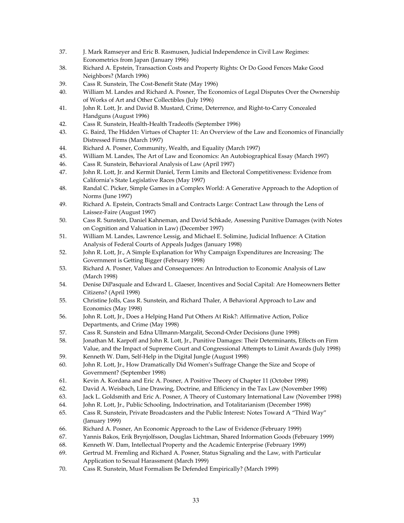- 37. J. Mark Ramseyer and Eric B. Rasmusen, Judicial Independence in Civil Law Regimes: Econometrics from Japan (January 1996)
- 38. Richard A. Epstein, Transaction Costs and Property Rights: Or Do Good Fences Make Good Neighbors? (March 1996)
- 39. Cass R. Sunstein, The Cost‐Benefit State (May 1996)
- 40. William M. Landes and Richard A. Posner, The Economics of Legal Disputes Over the Ownership of Works of Art and Other Collectibles (July 1996)
- 41. John R. Lott, Jr. and David B. Mustard, Crime, Deterrence, and Right-to-Carry Concealed Handguns (August 1996)
- 42. Cass R. Sunstein, Health‐Health Tradeoffs (September 1996)
- 43. G. Baird, The Hidden Virtues of Chapter 11: An Overview of the Law and Economics of Financially Distressed Firms (March 1997)
- 44. Richard A. Posner, Community, Wealth, and Equality (March 1997)
- 45. William M. Landes, The Art of Law and Economics: An Autobiographical Essay (March 1997)
- 46. Cass R. Sunstein, Behavioral Analysis of Law (April 1997)
- 47. John R. Lott, Jr. and Kermit Daniel, Term Limits and Electoral Competitiveness: Evidence from California's State Legislative Races (May 1997)
- 48. Randal C. Picker, Simple Games in a Complex World: A Generative Approach to the Adoption of Norms (June 1997)
- 49. Richard A. Epstein, Contracts Small and Contracts Large: Contract Law through the Lens of Laissez‐Faire (August 1997)
- 50. Cass R. Sunstein, Daniel Kahneman, and David Schkade, Assessing Punitive Damages (with Notes on Cognition and Valuation in Law) (December 1997)
- 51. William M. Landes, Lawrence Lessig, and Michael E. Solimine, Judicial Influence: A Citation Analysis of Federal Courts of Appeals Judges (January 1998)
- 52. John R. Lott, Jr., A Simple Explanation for Why Campaign Expenditures are Increasing: The Government is Getting Bigger (February 1998)
- 53. Richard A. Posner, Values and Consequences: An Introduction to Economic Analysis of Law (March 1998)
- 54. Denise DiPasquale and Edward L. Glaeser, Incentives and Social Capital: Are Homeowners Better Citizens? (April 1998)
- 55. Christine Jolls, Cass R. Sunstein, and Richard Thaler, A Behavioral Approach to Law and Economics (May 1998)
- 56. John R. Lott, Jr., Does a Helping Hand Put Others At Risk?: Affirmative Action, Police Departments, and Crime (May 1998)
- 57. Cass R. Sunstein and Edna Ullmann‐Margalit, Second‐Order Decisions (June 1998)
- 58. Jonathan M. Karpoff and John R. Lott, Jr., Punitive Damages: Their Determinants, Effects on Firm Value, and the Impact of Supreme Court and Congressional Attempts to Limit Awards (July 1998)
- 59. Kenneth W. Dam, Self-Help in the Digital Jungle (August 1998)
- 60. John R. Lott, Jr., How Dramatically Did Women's Suffrage Change the Size and Scope of Government? (September 1998)
- 61. Kevin A. Kordana and Eric A. Posner, A Positive Theory of Chapter 11 (October 1998)
- 62. David A. Weisbach, Line Drawing, Doctrine, and Efficiency in the Tax Law (November 1998)
- 63. Jack L. Goldsmith and Eric A. Posner, A Theory of Customary International Law (November 1998)
- 64. John R. Lott, Jr., Public Schooling, Indoctrination, and Totalitarianism (December 1998)
- 65. Cass R. Sunstein, Private Broadcasters and the Public Interest: Notes Toward A "Third Way" (January 1999)
- 66. Richard A. Posner, An Economic Approach to the Law of Evidence (February 1999)
- 67. Yannis Bakos, Erik Brynjolfsson, Douglas Lichtman, Shared Information Goods (February 1999)
- 68. Kenneth W. Dam, Intellectual Property and the Academic Enterprise (February 1999)
- 69. Gertrud M. Fremling and Richard A. Posner, Status Signaling and the Law, with Particular Application to Sexual Harassment (March 1999)
- 70. Cass R. Sunstein, Must Formalism Be Defended Empirically? (March 1999)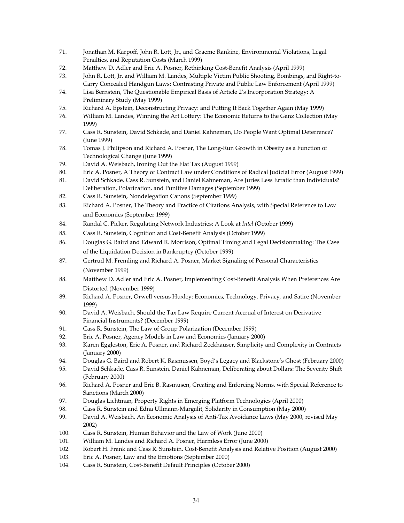- 71. Jonathan M. Karpoff, John R. Lott, Jr., and Graeme Rankine, Environmental Violations, Legal Penalties, and Reputation Costs (March 1999)
- 72. Matthew D. Adler and Eric A. Posner, Rethinking Cost‐Benefit Analysis (April 1999)
- 73. John R. Lott, Jr. and William M. Landes, Multiple Victim Public Shooting, Bombings, and Right-to-Carry Concealed Handgun Laws: Contrasting Private and Public Law Enforcement (April 1999)
- 74. Lisa Bernstein, The Questionable Empirical Basis of Article 2's Incorporation Strategy: A Preliminary Study (May 1999)
- 75. Richard A. Epstein, Deconstructing Privacy: and Putting It Back Together Again (May 1999)
- 76. William M. Landes, Winning the Art Lottery: The Economic Returns to the Ganz Collection (May 1999)
- 77. Cass R. Sunstein, David Schkade, and Daniel Kahneman, Do People Want Optimal Deterrence? (June 1999)
- 78. Tomas J. Philipson and Richard A. Posner, The Long‐Run Growth in Obesity as a Function of Technological Change (June 1999)
- 79. David A. Weisbach, Ironing Out the Flat Tax (August 1999)
- 80. Eric A. Posner, A Theory of Contract Law under Conditions of Radical Judicial Error (August 1999)
- 81. David Schkade, Cass R. Sunstein, and Daniel Kahneman, Are Juries Less Erratic than Individuals? Deliberation, Polarization, and Punitive Damages (September 1999)
- 82. Cass R. Sunstein, Nondelegation Canons (September 1999)
- 83. Richard A. Posner, The Theory and Practice of Citations Analysis, with Special Reference to Law and Economics (September 1999)
- 84. Randal C. Picker, Regulating Network Industries: A Look at *Intel* (October 1999)
- 85. Cass R. Sunstein, Cognition and Cost‐Benefit Analysis (October 1999)
- 86. Douglas G. Baird and Edward R. Morrison, Optimal Timing and Legal Decisionmaking: The Case of the Liquidation Decision in Bankruptcy (October 1999)
- 87. Gertrud M. Fremling and Richard A. Posner, Market Signaling of Personal Characteristics (November 1999)
- 88. Matthew D. Adler and Eric A. Posner, Implementing Cost-Benefit Analysis When Preferences Are Distorted (November 1999)
- 89. Richard A. Posner, Orwell versus Huxley: Economics, Technology, Privacy, and Satire (November 1999)
- 90. David A. Weisbach, Should the Tax Law Require Current Accrual of Interest on Derivative Financial Instruments? (December 1999)
- 91. Cass R. Sunstein, The Law of Group Polarization (December 1999)
- 92. Eric A. Posner, Agency Models in Law and Economics (January 2000)
- 93. Karen Eggleston, Eric A. Posner, and Richard Zeckhauser, Simplicity and Complexity in Contracts (January 2000)
- 94. Douglas G. Baird and Robert K. Rasmussen, Boyd's Legacy and Blackstone's Ghost (February 2000)
- 95. David Schkade, Cass R. Sunstein, Daniel Kahneman, Deliberating about Dollars: The Severity Shift (February 2000)
- 96. Richard A. Posner and Eric B. Rasmusen, Creating and Enforcing Norms, with Special Reference to Sanctions (March 2000)
- 97. Douglas Lichtman, Property Rights in Emerging Platform Technologies (April 2000)
- 98. Cass R. Sunstein and Edna Ullmann-Margalit, Solidarity in Consumption (May 2000)
- 99. David A. Weisbach, An Economic Analysis of Anti-Tax Avoidance Laws (May 2000, revised May 2002)
- 100. Cass R. Sunstein, Human Behavior and the Law of Work (June 2000)
- 101. William M. Landes and Richard A. Posner, Harmless Error (June 2000)
- 102. Robert H. Frank and Cass R. Sunstein, Cost-Benefit Analysis and Relative Position (August 2000)
- 103. Eric A. Posner, Law and the Emotions (September 2000)
- 104. Cass R. Sunstein, Cost-Benefit Default Principles (October 2000)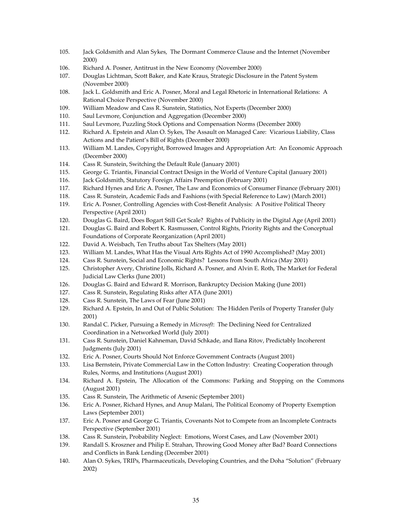- 105. Jack Goldsmith and Alan Sykes, The Dormant Commerce Clause and the Internet (November 2000)
- 106. Richard A. Posner, Antitrust in the New Economy (November 2000)
- 107. Douglas Lichtman, Scott Baker, and Kate Kraus, Strategic Disclosure in the Patent System (November 2000)
- 108. Jack L. Goldsmith and Eric A. Posner, Moral and Legal Rhetoric in International Relations: A Rational Choice Perspective (November 2000)
- 109. William Meadow and Cass R. Sunstein, Statistics, Not Experts (December 2000)
- 110. Saul Levmore, Conjunction and Aggregation (December 2000)
- 111. Saul Levmore, Puzzling Stock Options and Compensation Norms (December 2000)
- 112. Richard A. Epstein and Alan O. Sykes, The Assault on Managed Care: Vicarious Liability, Class Actions and the Patient's Bill of Rights (December 2000)
- 113. William M. Landes, Copyright, Borrowed Images and Appropriation Art: An Economic Approach (December 2000)
- 114. Cass R. Sunstein, Switching the Default Rule (January 2001)
- 115. George G. Triantis, Financial Contract Design in the World of Venture Capital (January 2001)
- 116. Jack Goldsmith, Statutory Foreign Affairs Preemption (February 2001)
- 117. Richard Hynes and Eric A. Posner, The Law and Economics of Consumer Finance (February 2001)
- 118. Cass R. Sunstein, Academic Fads and Fashions (with Special Reference to Law) (March 2001)
- 119. Eric A. Posner, Controlling Agencies with Cost-Benefit Analysis: A Positive Political Theory Perspective (April 2001)
- 120. Douglas G. Baird, Does Bogart Still Get Scale? Rights of Publicity in the Digital Age (April 2001)
- 121. Douglas G. Baird and Robert K. Rasmussen, Control Rights, Priority Rights and the Conceptual Foundations of Corporate Reorganization (April 2001)
- 122. David A. Weisbach, Ten Truths about Tax Shelters (May 2001)
- 123. William M. Landes, What Has the Visual Arts Rights Act of 1990 Accomplished? (May 2001)
- 124. Cass R. Sunstein, Social and Economic Rights? Lessons from South Africa (May 2001)
- 125. Christopher Avery, Christine Jolls, Richard A. Posner, and Alvin E. Roth, The Market for Federal Judicial Law Clerks (June 2001)
- 126. Douglas G. Baird and Edward R. Morrison, Bankruptcy Decision Making (June 2001)
- 127. Cass R. Sunstein, Regulating Risks after ATA (June 2001)
- 128. Cass R. Sunstein, The Laws of Fear (June 2001)
- 129. Richard A. Epstein, In and Out of Public Solution: The Hidden Perils of Property Transfer (July 2001)
- 130. Randal C. Picker, Pursuing a Remedy in *Microsoft*: The Declining Need for Centralized Coordination in a Networked World (July 2001)
- 131. Cass R. Sunstein, Daniel Kahneman, David Schkade, and Ilana Ritov, Predictably Incoherent Judgments (July 2001)
- 132. Eric A. Posner, Courts Should Not Enforce Government Contracts (August 2001)
- 133. Lisa Bernstein, Private Commercial Law in the Cotton Industry: Creating Cooperation through Rules, Norms, and Institutions (August 2001)
- 134. Richard A. Epstein, The Allocation of the Commons: Parking and Stopping on the Commons (August 2001)
- 135. Cass R. Sunstein, The Arithmetic of Arsenic (September 2001)
- 136. Eric A. Posner, Richard Hynes, and Anup Malani, The Political Economy of Property Exemption Laws (September 2001)
- 137. Eric A. Posner and George G. Triantis, Covenants Not to Compete from an Incomplete Contracts Perspective (September 2001)
- 138. Cass R. Sunstein, Probability Neglect: Emotions, Worst Cases, and Law (November 2001)
- 139. Randall S. Kroszner and Philip E. Strahan, Throwing Good Money after Bad? Board Connections and Conflicts in Bank Lending (December 2001)
- 140. Alan O. Sykes, TRIPs, Pharmaceuticals, Developing Countries, and the Doha "Solution" (February 2002)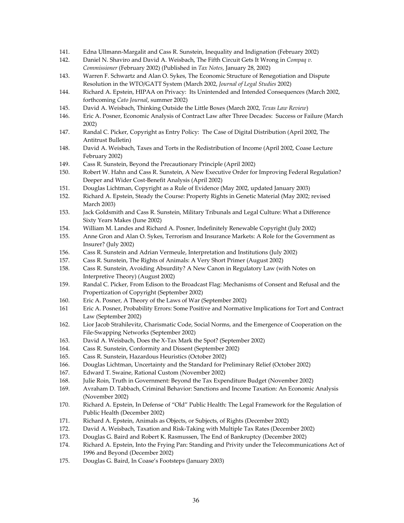- 141. Edna Ullmann‐Margalit and Cass R. Sunstein, Inequality and Indignation (February 2002)
- 142. Daniel N. Shaviro and David A. Weisbach, The Fifth Circuit Gets It Wrong in *Compaq v. Commissioner* (February 2002) (Published in *Tax Notes*, January 28, 2002)
- 143. Warren F. Schwartz and Alan O. Sykes, The Economic Structure of Renegotiation and Dispute Resolution in the WTO/GATT System (March 2002, *Journal of Legal Studies* 2002)
- 144. Richard A. Epstein, HIPAA on Privacy: Its Unintended and Intended Consequences (March 2002, forthcoming *Cato Journal*, summer 2002)
- 145. David A. Weisbach, Thinking Outside the Little Boxes (March 2002, *Texas Law Review*)
- 146. Eric A. Posner, Economic Analysis of Contract Law after Three Decades: Success or Failure (March 2002)
- 147. Randal C. Picker, Copyright as Entry Policy: The Case of Digital Distribution (April 2002, The Antitrust Bulletin)
- 148. David A. Weisbach, Taxes and Torts in the Redistribution of Income (April 2002, Coase Lecture February 2002)
- 149. Cass R. Sunstein, Beyond the Precautionary Principle (April 2002)
- 150. Robert W. Hahn and Cass R. Sunstein, A New Executive Order for Improving Federal Regulation? Deeper and Wider Cost‐Benefit Analysis (April 2002)
- 151. Douglas Lichtman, Copyright as a Rule of Evidence (May 2002, updated January 2003)
- 152. Richard A. Epstein, Steady the Course: Property Rights in Genetic Material (May 2002; revised March 2003)
- 153. Jack Goldsmith and Cass R. Sunstein, Military Tribunals and Legal Culture: What a Difference Sixty Years Makes (June 2002)
- 154. William M. Landes and Richard A. Posner, Indefinitely Renewable Copyright (July 2002)
- 155. Anne Gron and Alan O. Sykes, Terrorism and Insurance Markets: A Role for the Government as Insurer? (July 2002)
- 156. Cass R. Sunstein and Adrian Vermeule, Interpretation and Institutions (July 2002)
- 157. Cass R. Sunstein, The Rights of Animals: A Very Short Primer (August 2002)
- 158. Cass R. Sunstein, Avoiding Absurdity? A New Canon in Regulatory Law (with Notes on Interpretive Theory) (August 2002)
- 159. Randal C. Picker, From Edison to the Broadcast Flag: Mechanisms of Consent and Refusal and the Propertization of Copyright (September 2002)
- 160. Eric A. Posner, A Theory of the Laws of War (September 2002)
- 161 Eric A. Posner, Probability Errors: Some Positive and Normative Implications for Tort and Contract Law (September 2002)
- 162. Lior Jacob Strahilevitz, Charismatic Code, Social Norms, and the Emergence of Cooperation on the File‐Swapping Networks (September 2002)
- 163. David A. Weisbach, Does the X‐Tax Mark the Spot? (September 2002)
- 164. Cass R. Sunstein, Conformity and Dissent (September 2002)
- 165. Cass R. Sunstein, Hazardous Heuristics (October 2002)
- 166. Douglas Lichtman, Uncertainty and the Standard for Preliminary Relief (October 2002)
- 167. Edward T. Swaine, Rational Custom (November 2002)
- 168. Julie Roin, Truth in Government: Beyond the Tax Expenditure Budget (November 2002)
- 169. Avraham D. Tabbach, Criminal Behavior: Sanctions and Income Taxation: An Economic Analysis (November 2002)
- 170. Richard A. Epstein, In Defense of "Old" Public Health: The Legal Framework for the Regulation of Public Health (December 2002)
- 171. Richard A. Epstein, Animals as Objects, or Subjects, of Rights (December 2002)
- 172. David A. Weisbach, Taxation and Risk‐Taking with Multiple Tax Rates (December 2002)
- 173. Douglas G. Baird and Robert K. Rasmussen, The End of Bankruptcy (December 2002)
- 174. Richard A. Epstein, Into the Frying Pan: Standing and Privity under the Telecommunications Act of 1996 and Beyond (December 2002)
- 175. Douglas G. Baird, In Coase's Footsteps (January 2003)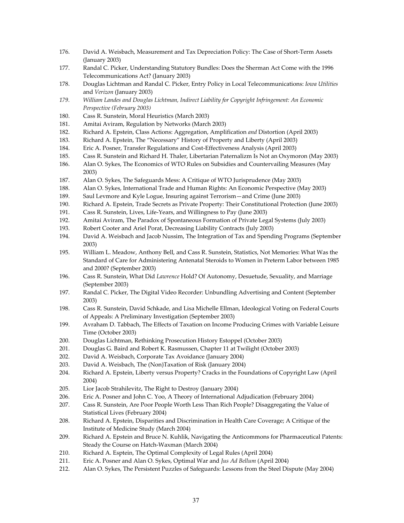- 176. David A. Weisbach, Measurement and Tax Depreciation Policy: The Case of Short‐Term Assets (January 2003)
- 177. Randal C. Picker, Understanding Statutory Bundles: Does the Sherman Act Come with the 1996 Telecommunications Act? (January 2003)
- 178. Douglas Lichtman and Randal C. Picker, Entry Policy in Local Telecommunications: *Iowa Utilities* and *Verizon* (January 2003)
- *179. William Landes and Douglas Lichtman, Indirect Liability for Copyright Infringement: An Economic Perspective (February 2003)*
- 180. Cass R. Sunstein, Moral Heuristics (March 2003)
- 181. Amitai Aviram, Regulation by Networks (March 2003)
- 182. Richard A. Epstein, Class Actions: Aggregation, Amplification *and* Distortion (April 2003)
- 183. Richard A. Epstein, The "Necessary" History of Property and Liberty (April 2003)
- 184. Eric A. Posner, Transfer Regulations and Cost‐Effectiveness Analysis (April 2003)
- 185. Cass R. Sunstein and Richard H. Thaler, Libertarian Paternalizm Is Not an Oxymoron (May 2003)
- 186. Alan O. Sykes, The Economics of WTO Rules on Subsidies and Countervailing Measures (May 2003)
- 187. Alan O. Sykes, The Safeguards Mess: A Critique of WTO Jurisprudence (May 2003)
- 188. Alan O. Sykes, International Trade and Human Rights: An Economic Perspective (May 2003)
- 189. Saul Levmore and Kyle Logue, Insuring against Terrorism—and Crime (June 2003)
- 190. Richard A. Epstein, Trade Secrets as Private Property: Their Constitutional Protection (June 2003)
- 191. Cass R. Sunstein, Lives, Life-Years, and Willingness to Pay (June 2003)
- 192. Amitai Aviram, The Paradox of Spontaneous Formation of Private Legal Systems (July 2003)
- 193. Robert Cooter and Ariel Porat, Decreasing Liability Contracts (July 2003)
- 194. David A. Weisbach and Jacob Nussim, The Integration of Tax and Spending Programs (September 2003)
- 195. William L. Meadow, Anthony Bell, and Cass R. Sunstein, Statistics, Not Memories: What Was the Standard of Care for Administering Antenatal Steroids to Women in Preterm Labor between 1985 and 2000? (September 2003)
- 196. Cass R. Sunstein, What Did *Lawrence* Hold? Of Autonomy, Desuetude, Sexuality, and Marriage (September 2003)
- 197. Randal C. Picker, The Digital Video Recorder: Unbundling Advertising and Content (September 2003)
- 198. Cass R. Sunstein, David Schkade, and Lisa Michelle Ellman, Ideological Voting on Federal Courts of Appeals: A Preliminary Investigation (September 2003)
- 199. Avraham D. Tabbach, The Effects of Taxation on Income Producing Crimes with Variable Leisure Time (October 2003)
- 200. Douglas Lichtman, Rethinking Prosecution History Estoppel (October 2003)
- 201. Douglas G. Baird and Robert K. Rasmussen, Chapter 11 at Twilight (October 2003)
- 202. David A. Weisbach, Corporate Tax Avoidance (January 2004)
- 203. David A. Weisbach, The (Non)Taxation of Risk (January 2004)
- 204. Richard A. Epstein, Liberty versus Property? Cracks in the Foundations of Copyright Law (April 2004)
- 205. Lior Jacob Strahilevitz, The Right to Destroy (January 2004)
- 206. Eric A. Posner and John C. Yoo, A Theory of International Adjudication (February 2004)
- 207. Cass R. Sunstein, Are Poor People Worth Less Than Rich People? Disaggregating the Value of Statistical Lives (February 2004)
- 208. Richard A. Epstein, Disparities and Discrimination in Health Care Coverage; A Critique of the Institute of Medicine Study (March 2004)
- 209. Richard A. Epstein and Bruce N. Kuhlik, Navigating the Anticommons for Pharmaceutical Patents: Steady the Course on Hatch‐Waxman (March 2004)
- 210. Richard A. Esptein, The Optimal Complexity of Legal Rules (April 2004)
- 211. Eric A. Posner and Alan O. Sykes, Optimal War and *Jus Ad Bellum* (April 2004)
- 212. Alan O. Sykes, The Persistent Puzzles of Safeguards: Lessons from the Steel Dispute (May 2004)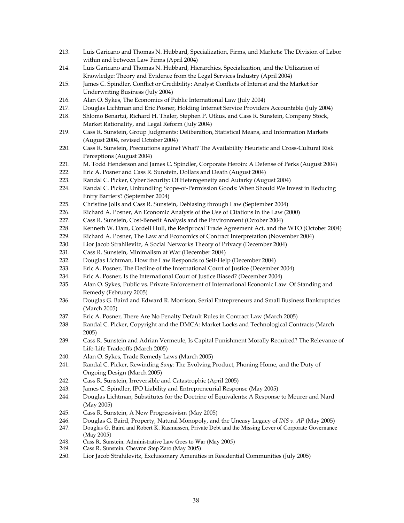- 213. Luis Garicano and Thomas N. Hubbard, Specialization, Firms, and Markets: The Division of Labor within and between Law Firms (April 2004)
- 214. Luis Garicano and Thomas N. Hubbard, Hierarchies, Specialization, and the Utilization of Knowledge: Theory and Evidence from the Legal Services Industry (April 2004)
- 215. James C. Spindler, Conflict or Credibility: Analyst Conflicts of Interest and the Market for Underwriting Business (July 2004)
- 216. Alan O. Sykes, The Economics of Public International Law (July 2004)
- 217. Douglas Lichtman and Eric Posner, Holding Internet Service Providers Accountable (July 2004)
- 218. Shlomo Benartzi, Richard H. Thaler, Stephen P. Utkus, and Cass R. Sunstein, Company Stock, Market Rationality, and Legal Reform (July 2004)
- 219. Cass R. Sunstein, Group Judgments: Deliberation, Statistical Means, and Information Markets (August 2004, revised October 2004)
- 220. Cass R. Sunstein, Precautions against What? The Availability Heuristic and Cross-Cultural Risk Perceptions (August 2004)
- 221. M. Todd Henderson and James C. Spindler, Corporate Heroin: A Defense of Perks (August 2004)
- 222. Eric A. Posner and Cass R. Sunstein, Dollars and Death (August 2004)
- 223. Randal C. Picker, Cyber Security: Of Heterogeneity and Autarky (August 2004)
- 224. Randal C. Picker, Unbundling Scope-of-Permission Goods: When Should We Invest in Reducing Entry Barriers? (September 2004)
- 225. Christine Jolls and Cass R. Sunstein, Debiasing through Law (September 2004)
- 226. Richard A. Posner, An Economic Analysis of the Use of Citations in the Law (2000)
- 227. Cass R. Sunstein, Cost-Benefit Analysis and the Environment (October 2004)
- 228. Kenneth W. Dam, Cordell Hull, the Reciprocal Trade Agreement Act, and the WTO (October 2004)
- 229. Richard A. Posner, The Law and Economics of Contract Interpretation (November 2004)
- 230. Lior Jacob Strahilevitz, A Social Networks Theory of Privacy (December 2004)
- 231. Cass R. Sunstein, Minimalism at War (December 2004)
- 232. Douglas Lichtman, How the Law Responds to Self-Help (December 2004)
- 233. Eric A. Posner, The Decline of the International Court of Justice (December 2004)
- 234. Eric A. Posner, Is the International Court of Justice Biased? (December 2004)
- 235. Alan O. Sykes, Public vs. Private Enforcement of International Economic Law: Of Standing and Remedy (February 2005)
- 236. Douglas G. Baird and Edward R. Morrison, Serial Entrepreneurs and Small Business Bankruptcies (March 2005)
- 237. Eric A. Posner, There Are No Penalty Default Rules in Contract Law (March 2005)
- 238. Randal C. Picker, Copyright and the DMCA: Market Locks and Technological Contracts (March 2005)
- 239. Cass R. Sunstein and Adrian Vermeule, Is Capital Punishment Morally Required? The Relevance of Life‐Life Tradeoffs (March 2005)
- 240. Alan O. Sykes, Trade Remedy Laws (March 2005)
- 241. Randal C. Picker, Rewinding *Sony*: The Evolving Product, Phoning Home, and the Duty of Ongoing Design (March 2005)
- 242. Cass R. Sunstein, Irreversible and Catastrophic (April 2005)
- 243. James C. Spindler, IPO Liability and Entrepreneurial Response (May 2005)
- 244. Douglas Lichtman, Substitutes for the Doctrine of Equivalents: A Response to Meurer and Nard (May 2005)
- 245. Cass R. Sunstein, A New Progressivism (May 2005)
- 246. Douglas G. Baird, Property, Natural Monopoly, and the Uneasy Legacy of *INS v. AP* (May 2005)
- 247. Douglas G. Baird and Robert K. Rasmussen, Private Debt and the Missing Lever of Corporate Governance (May 2005)
- 248. Cass R. Sunstein, Administrative Law Goes to War (May 2005)
- 249. Cass R. Sunstein, Chevron Step Zero (May 2005)
- 250. Lior Jacob Strahilevitz, Exclusionary Amenities in Residential Communities (July 2005)